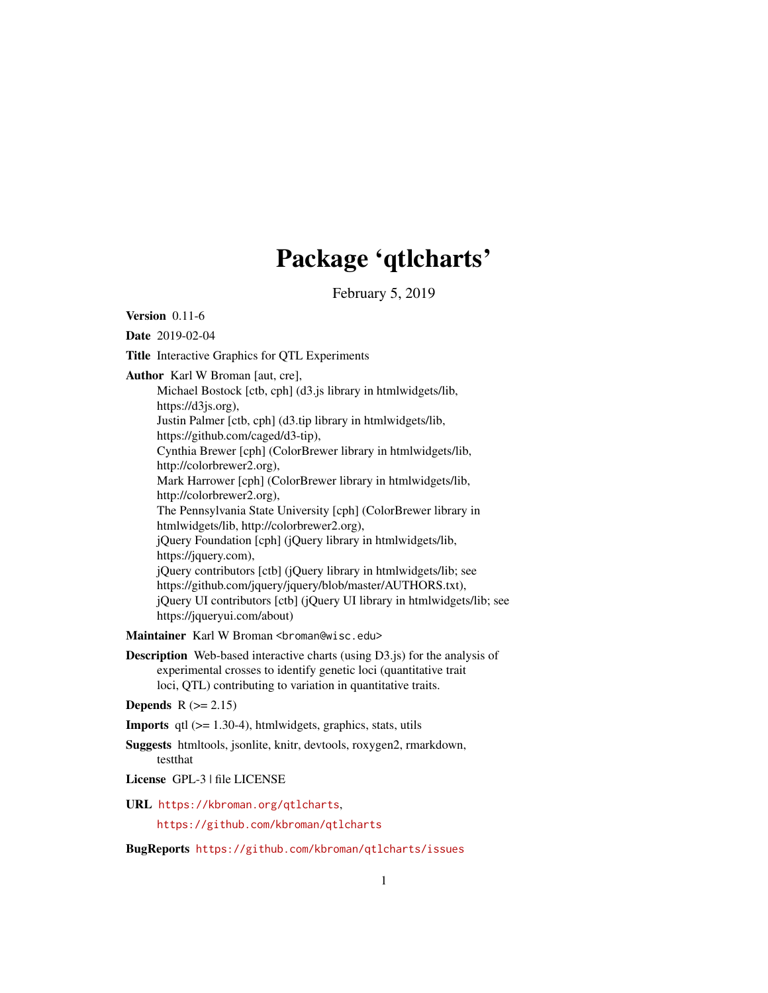# Package 'qtlcharts'

February 5, 2019

<span id="page-0-0"></span>Version 0.11-6

Date 2019-02-04

Title Interactive Graphics for QTL Experiments

Author Karl W Broman [aut, cre],

Michael Bostock [ctb, cph] (d3.js library in htmlwidgets/lib, https://d3js.org), Justin Palmer [ctb, cph] (d3.tip library in htmlwidgets/lib, https://github.com/caged/d3-tip), Cynthia Brewer [cph] (ColorBrewer library in htmlwidgets/lib, http://colorbrewer2.org), Mark Harrower [cph] (ColorBrewer library in htmlwidgets/lib, http://colorbrewer2.org), The Pennsylvania State University [cph] (ColorBrewer library in htmlwidgets/lib, http://colorbrewer2.org), jQuery Foundation [cph] (jQuery library in htmlwidgets/lib, https://jquery.com), jQuery contributors [ctb] (jQuery library in htmlwidgets/lib; see https://github.com/jquery/jquery/blob/master/AUTHORS.txt), jQuery UI contributors [ctb] (jQuery UI library in htmlwidgets/lib; see https://jqueryui.com/about)

Maintainer Karl W Broman <br />broman@wisc.edu>

Description Web-based interactive charts (using D3.js) for the analysis of experimental crosses to identify genetic loci (quantitative trait loci, QTL) contributing to variation in quantitative traits.

**Depends**  $R$  ( $>= 2.15$ )

**Imports** qtl  $(>= 1.30-4)$ , htmlwidgets, graphics, stats, utils

- Suggests htmltools, jsonlite, knitr, devtools, roxygen2, rmarkdown, testthat
- License GPL-3 | file LICENSE
- URL <https://kbroman.org/qtlcharts>,

<https://github.com/kbroman/qtlcharts>

BugReports <https://github.com/kbroman/qtlcharts/issues>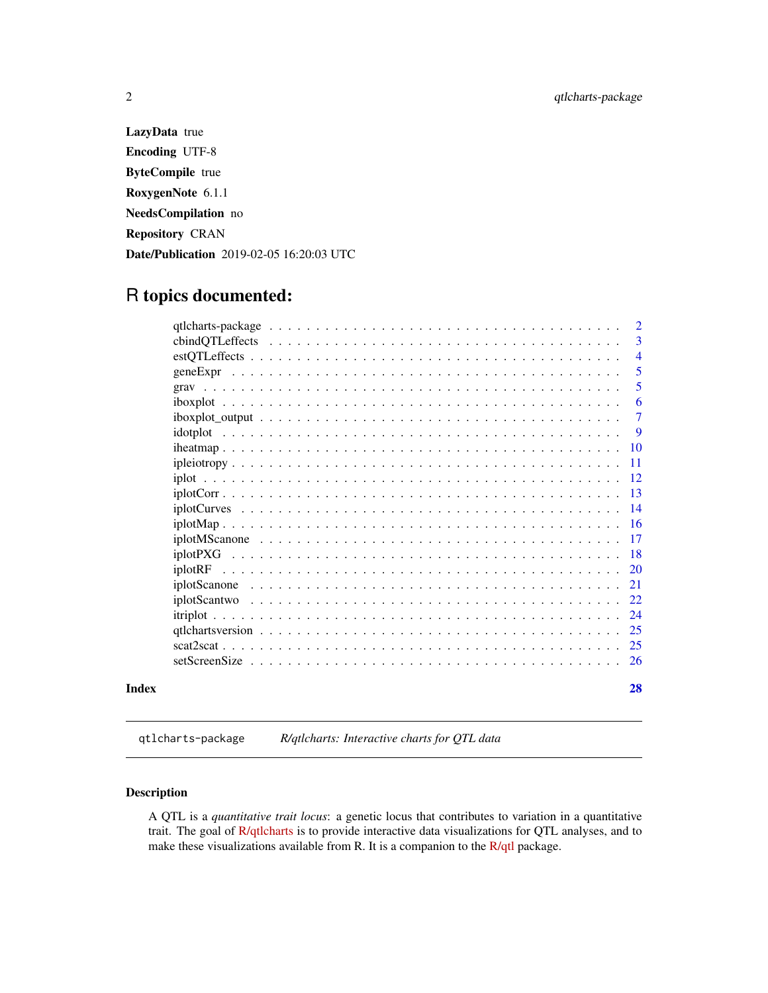LazyData true Encoding UTF-8 ByteCompile true RoxygenNote 6.1.1 NeedsCompilation no Repository CRAN Date/Publication 2019-02-05 16:20:03 UTC

# R topics documented:

|       |                                                                                                                 | $\overline{2}$  |
|-------|-----------------------------------------------------------------------------------------------------------------|-----------------|
|       |                                                                                                                 | 3               |
|       |                                                                                                                 | $\overline{4}$  |
|       |                                                                                                                 | 5               |
|       |                                                                                                                 | 5               |
|       |                                                                                                                 | 6               |
|       | $iboxplot_$ output $\ldots \ldots \ldots \ldots \ldots \ldots \ldots \ldots \ldots \ldots \ldots \ldots \ldots$ | $\overline{7}$  |
|       |                                                                                                                 | -9              |
|       |                                                                                                                 | -10             |
|       |                                                                                                                 | -11             |
|       |                                                                                                                 | -12             |
|       |                                                                                                                 |                 |
|       |                                                                                                                 | $\overline{14}$ |
|       |                                                                                                                 |                 |
|       |                                                                                                                 | -17             |
|       |                                                                                                                 |                 |
|       |                                                                                                                 | <b>20</b>       |
|       |                                                                                                                 | 21              |
|       |                                                                                                                 | 22              |
|       |                                                                                                                 | 24              |
|       |                                                                                                                 | 25              |
|       |                                                                                                                 | -25             |
|       |                                                                                                                 | <sup>26</sup>   |
| Index |                                                                                                                 | 28              |

# qtlcharts-package *R/qtlcharts: Interactive charts for QTL data*

# Description

A QTL is a *quantitative trait locus*: a genetic locus that contributes to variation in a quantitative trait. The goal of [R/qtlcharts](http://kbroman.org/qtlcharts) is to provide interactive data visualizations for QTL analyses, and to make these visualizations available from R. It is a companion to the  $R/dt$ l package.

<span id="page-1-0"></span>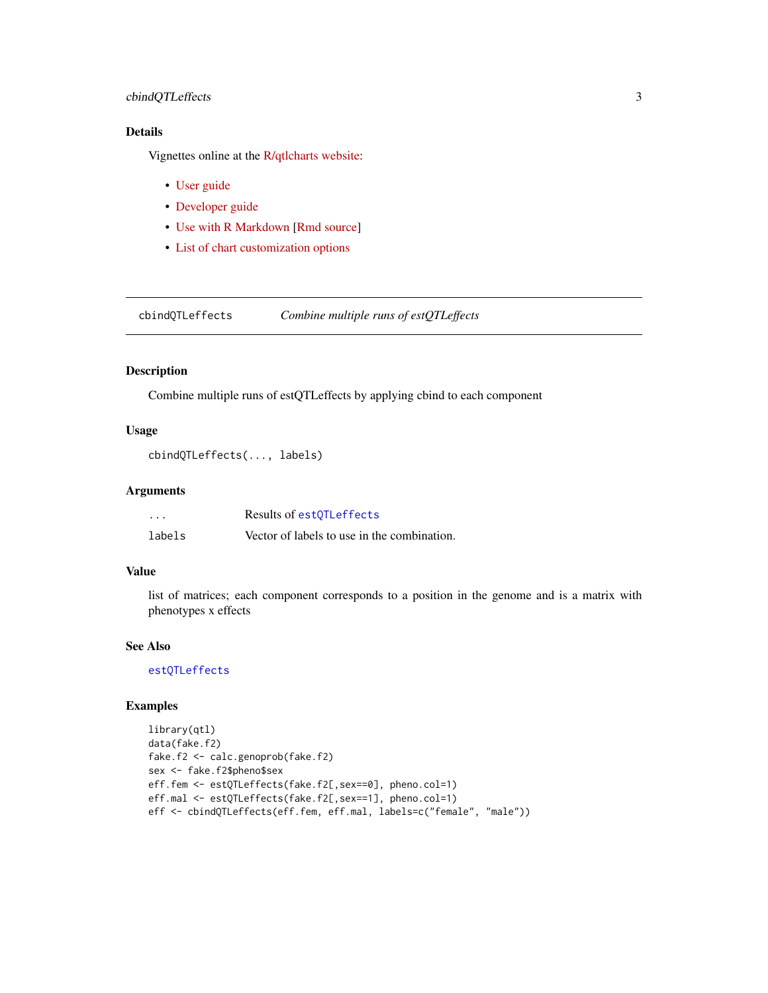# <span id="page-2-0"></span>cbindQTLeffects 3

# Details

Vignettes online at the [R/qtlcharts website:](http://kbroman.org/qtlcharts)

- [User guide](http://kbroman.org/qtlcharts/assets/vignettes/userGuide.html)
- [Developer guide](http://kbroman.org/qtlcharts/assets/vignettes/develGuide.html)
- [Use with R Markdown](http://kbroman.org/qtlcharts/assets/vignettes/Rmarkdown.html) [\[Rmd source\]](https://github.com/kbroman/qtlcharts/blob/gh-pages/assets/vignettes/Rmarkdown.Rmd)
- [List of chart customization options](http://kbroman.org/qtlcharts/assets/vignettes/chartOpts.html)

<span id="page-2-1"></span>cbindQTLeffects *Combine multiple runs of estQTLeffects*

## Description

Combine multiple runs of estQTLeffects by applying cbind to each component

## Usage

cbindQTLeffects(..., labels)

# Arguments

| $\cdots$ | Results of est OTL effects                  |
|----------|---------------------------------------------|
| labels   | Vector of labels to use in the combination. |

## Value

list of matrices; each component corresponds to a position in the genome and is a matrix with phenotypes x effects

## See Also

[estQTLeffects](#page-3-1)

```
library(qtl)
data(fake.f2)
fake.f2 <- calc.genoprob(fake.f2)
sex <- fake.f2$pheno$sex
eff.fem <- estQTLeffects(fake.f2[,sex==0], pheno.col=1)
eff.mal <- estQTLeffects(fake.f2[,sex==1], pheno.col=1)
eff <- cbindQTLeffects(eff.fem, eff.mal, labels=c("female", "male"))
```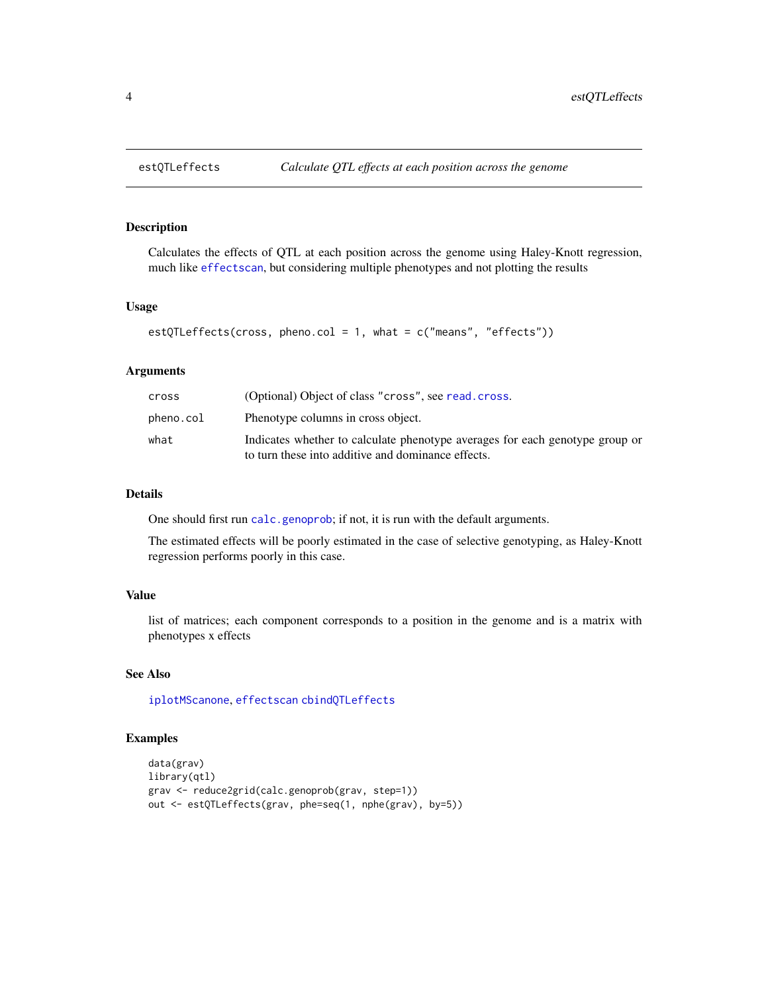<span id="page-3-1"></span><span id="page-3-0"></span>Calculates the effects of QTL at each position across the genome using Haley-Knott regression, much like [effectscan](#page-0-0), but considering multiple phenotypes and not plotting the results

## Usage

```
estQTLeftects(cross, pheno,col = 1, what = c("means", "effects"))
```
## Arguments

| cross     | (Optional) Object of class "cross", see read.cross.                                                                                |
|-----------|------------------------------------------------------------------------------------------------------------------------------------|
| pheno.col | Phenotype columns in cross object.                                                                                                 |
| what      | Indicates whether to calculate phenotype averages for each genotype group or<br>to turn these into additive and dominance effects. |
|           |                                                                                                                                    |

# Details

One should first run [calc.genoprob](#page-0-0); if not, it is run with the default arguments.

The estimated effects will be poorly estimated in the case of selective genotyping, as Haley-Knott regression performs poorly in this case.

## Value

list of matrices; each component corresponds to a position in the genome and is a matrix with phenotypes x effects

# See Also

[iplotMScanone](#page-16-1), [effectscan](#page-0-0) [cbindQTLeffects](#page-2-1)

```
data(grav)
library(qtl)
grav <- reduce2grid(calc.genoprob(grav, step=1))
out <- estQTLeffects(grav, phe=seq(1, nphe(grav), by=5))
```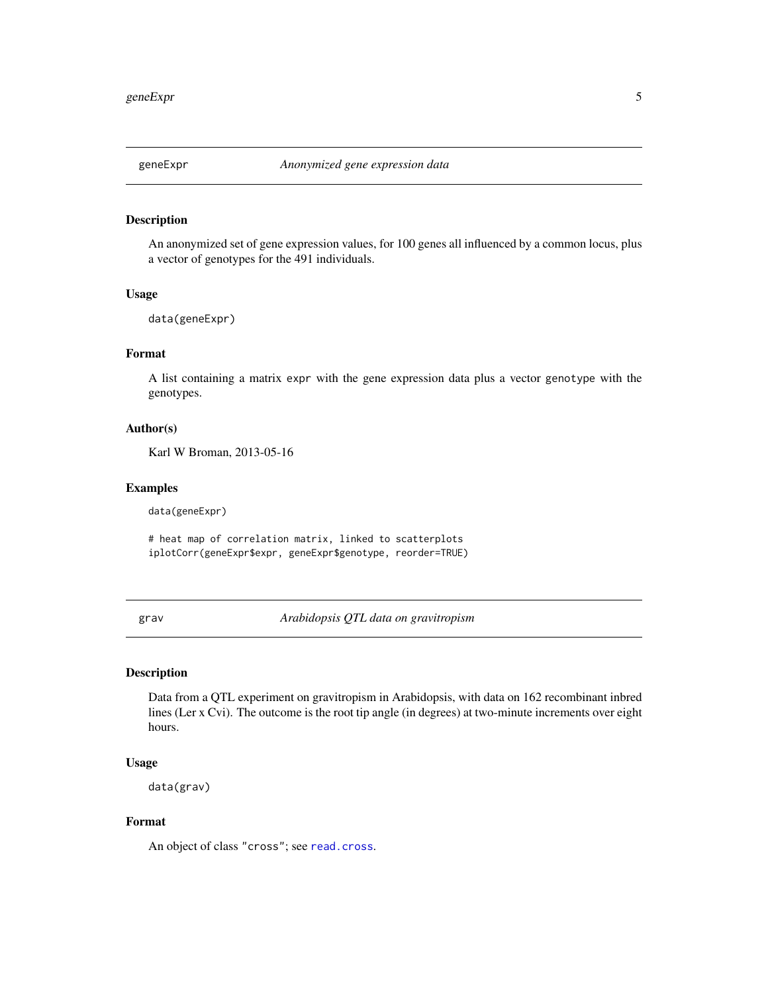<span id="page-4-0"></span>

An anonymized set of gene expression values, for 100 genes all influenced by a common locus, plus a vector of genotypes for the 491 individuals.

## Usage

data(geneExpr)

# Format

A list containing a matrix expr with the gene expression data plus a vector genotype with the genotypes.

# Author(s)

Karl W Broman, 2013-05-16

#### Examples

data(geneExpr)

# heat map of correlation matrix, linked to scatterplots iplotCorr(geneExpr\$expr, geneExpr\$genotype, reorder=TRUE)

grav *Arabidopsis QTL data on gravitropism*

# Description

Data from a QTL experiment on gravitropism in Arabidopsis, with data on 162 recombinant inbred lines (Ler x Cvi). The outcome is the root tip angle (in degrees) at two-minute increments over eight hours.

## Usage

data(grav)

## Format

An object of class "cross"; see [read.cross](#page-0-0).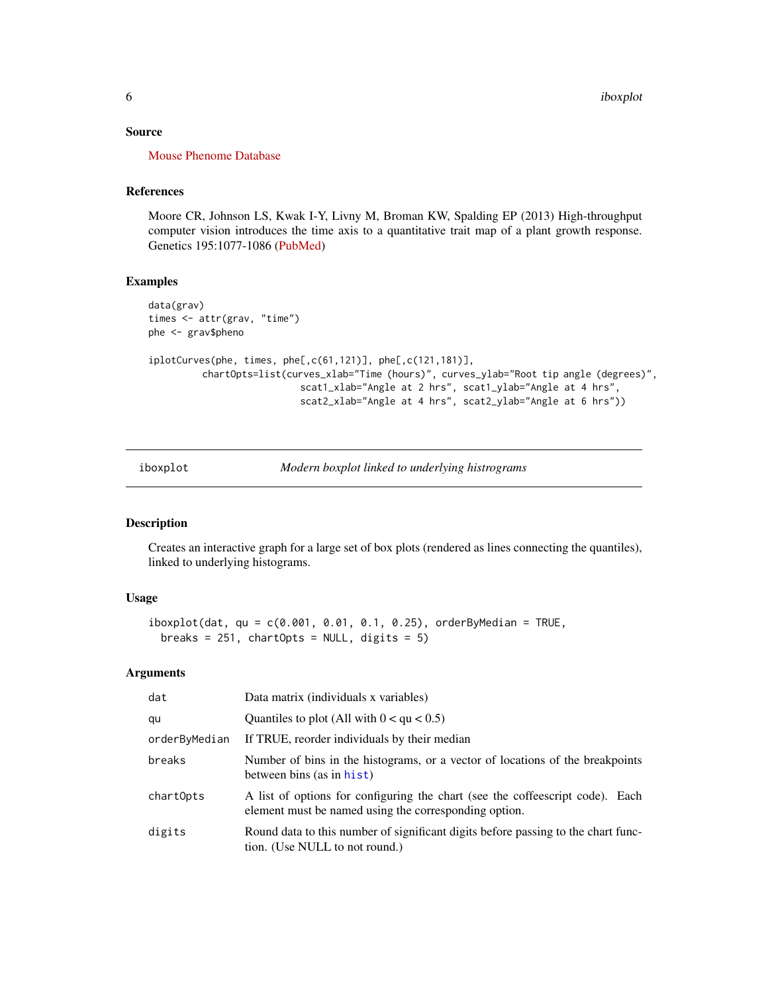## <span id="page-5-0"></span>Source

[Mouse Phenome Database](https://phenome.jax.org/projects/Moore1b)

## References

Moore CR, Johnson LS, Kwak I-Y, Livny M, Broman KW, Spalding EP (2013) High-throughput computer vision introduces the time axis to a quantitative trait map of a plant growth response. Genetics 195:1077-1086 [\(PubMed\)](https://www.ncbi.nlm.nih.gov/pubmed/23979570)

## Examples

```
data(grav)
times <- attr(grav, "time")
phe <- grav$pheno
iplotCurves(phe, times, phe[,c(61,121)], phe[,c(121,181)],
         chartOpts=list(curves_xlab="Time (hours)", curves_ylab="Root tip angle (degrees)",
                           scat1_xlab="Angle at 2 hrs", scat1_ylab="Angle at 4 hrs",
                           scat2_xlab="Angle at 4 hrs", scat2_ylab="Angle at 6 hrs"))
```
iboxplot *Modern boxplot linked to underlying histrograms*

## Description

Creates an interactive graph for a large set of box plots (rendered as lines connecting the quantiles), linked to underlying histograms.

## Usage

```
iboxylot(data, qu = c(0.001, 0.01, 0.1, 0.25), orderByMedian = TRUE,
 breaks = 251, chartOpts = NULL, digits = 5)
```

| dat           | Data matrix (individuals x variables)                                                                                                  |
|---------------|----------------------------------------------------------------------------------------------------------------------------------------|
| qu            | Quantiles to plot (All with $0 <$ qu $< 0.5$ )                                                                                         |
| orderByMedian | If TRUE, reorder individuals by their median                                                                                           |
| breaks        | Number of bins in the histograms, or a vector of locations of the breakpoints<br>between bins (as in hist)                             |
| chartOpts     | A list of options for configuring the chart (see the coffeescript code). Each<br>element must be named using the corresponding option. |
| digits        | Round data to this number of significant digits before passing to the chart func-<br>tion. (Use NULL to not round.)                    |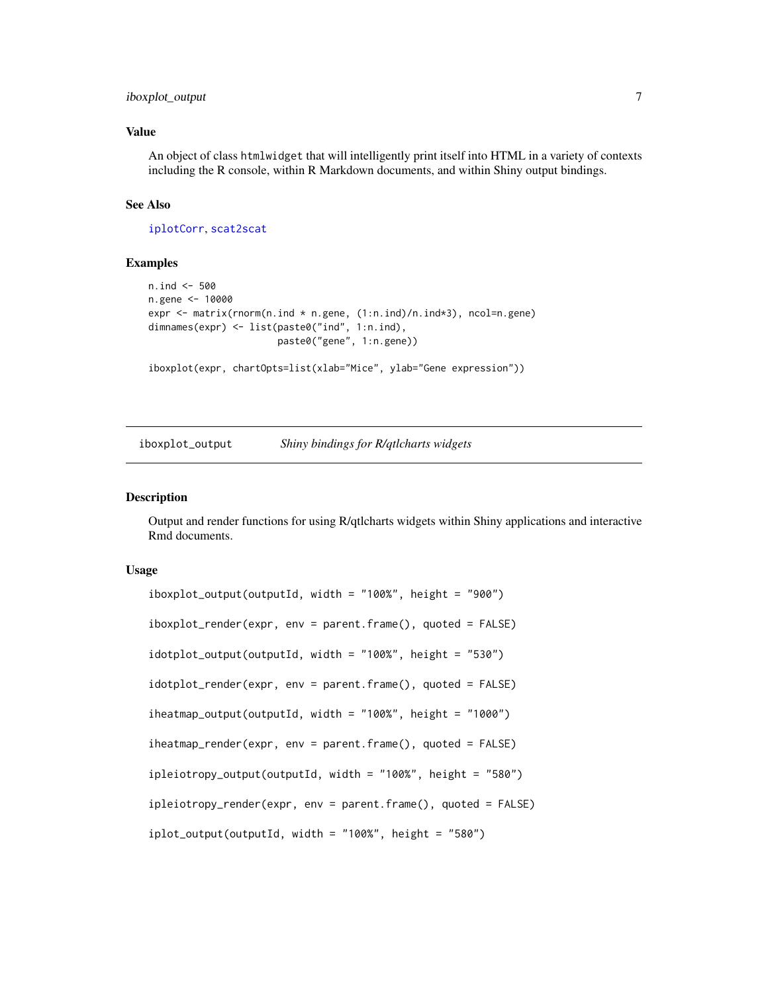# <span id="page-6-0"></span>iboxplot\_output 7

# Value

An object of class htmlwidget that will intelligently print itself into HTML in a variety of contexts including the R console, within R Markdown documents, and within Shiny output bindings.

## See Also

[iplotCorr](#page-12-1), [scat2scat](#page-24-1)

## Examples

```
n.ind <- 500
n.gene <- 10000
expr \leq matrix(rnorm(n.ind * n.gene, (1:n.ind)/n.ind*3), ncol=n.gene)
dimnames(expr) <- list(paste0("ind", 1:n.ind),
                       paste0("gene", 1:n.gene))
```

```
iboxplot(expr, chartOpts=list(xlab="Mice", ylab="Gene expression"))
```
iboxplot\_output *Shiny bindings for R/qtlcharts widgets*

# **Description**

Output and render functions for using R/qtlcharts widgets within Shiny applications and interactive Rmd documents.

## Usage

```
iboxylot_output(outputId, width = "100%", height = "900")iboxplot_render(expr, env = parent.frame(), quoted = FALSE)
idotplot_output(outputId, width = "100%", height = "530")
idotplot_render(expr, env = parent.frame(), quoted = FALSE)
iheatmap_output(outputId, width = "100%", height = "1000")
iheatmap_render(expr, env = parent.frame(), quoted = FALSE)
ipleiotropy_output(outputId, width = "100%", height = "580")
ipleiotropy_render(expr, env = parent.frame(), quoted = FALSE)
iplot_output(outputId, width = "100%", height = "580")
```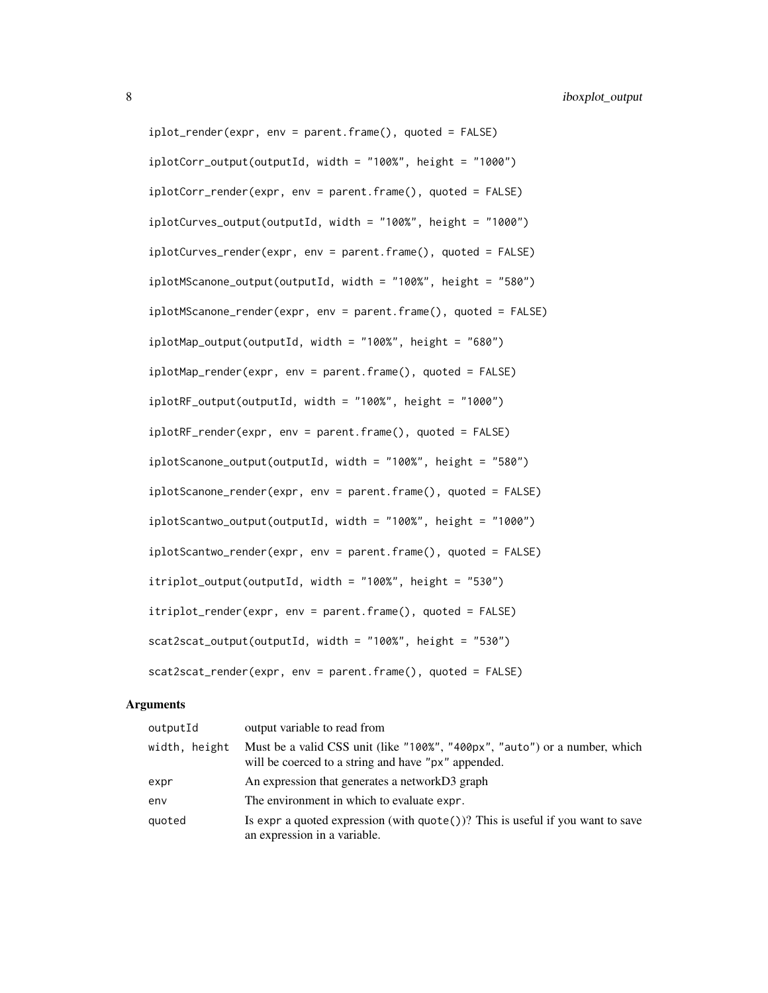iplot\_render(expr, env = parent.frame(), quoted = FALSE)  $iplotCorr_output(outId, width = "100%", height = "1000")$ iplotCorr\_render(expr, env = parent.frame(), quoted = FALSE) iplotCurves\_output(outputId, width = "100%", height = "1000") iplotCurves\_render(expr, env = parent.frame(), quoted = FALSE) iplotMScanone\_output(outputId, width = "100%", height = "580") iplotMScanone\_render(expr, env = parent.frame(), quoted = FALSE) iplotMap\_output(outputId, width = "100%", height = "680") iplotMap\_render(expr, env = parent.frame(), quoted = FALSE) iplotRF\_output(outputId, width = "100%", height = "1000") iplotRF\_render(expr, env = parent.frame(), quoted = FALSE) iplotScanone\_output(outputId, width = "100%", height = "580") iplotScanone\_render(expr, env = parent.frame(), quoted = FALSE) iplotScantwo\_output(outputId, width = "100%", height = "1000") iplotScantwo\_render(expr, env = parent.frame(), quoted = FALSE) itriplot\_output(outputId, width = "100%", height = "530") itriplot\_render(expr, env = parent.frame(), quoted = FALSE) scat2scat\_output(outputId, width = "100%", height = "530") scat2scat\_render(expr, env = parent.frame(), quoted = FALSE)

| outputId      | output variable to read from                                                                                                      |
|---------------|-----------------------------------------------------------------------------------------------------------------------------------|
| width, height | Must be a valid CSS unit (like "100%", "400px", "auto") or a number, which<br>will be coerced to a string and have "px" appended. |
| expr          | An expression that generates a networkD3 graph                                                                                    |
| env           | The environment in which to evaluate expr.                                                                                        |
| quoted        | Is expr a quoted expression (with $\text{quote}()$ )? This is useful if you want to save<br>an expression in a variable.          |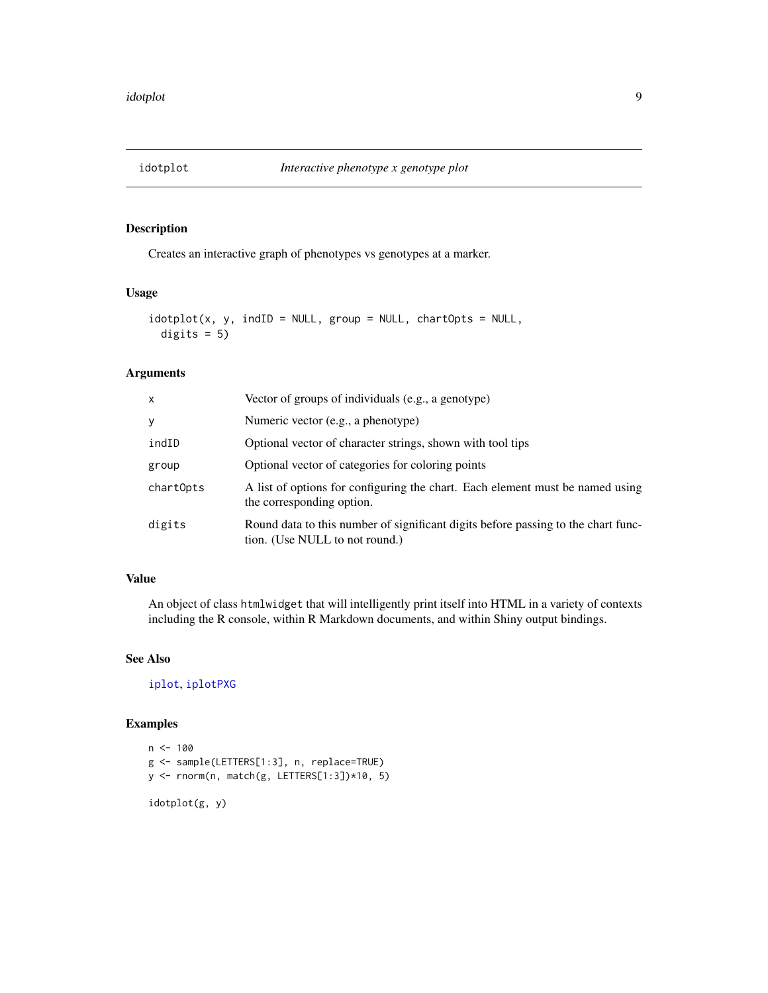<span id="page-8-1"></span><span id="page-8-0"></span>

Creates an interactive graph of phenotypes vs genotypes at a marker.

# Usage

```
idotplot(x, y, indID = NULL, group = NULL, chartOpts = NULL,digits = 5)
```
# Arguments

| X         | Vector of groups of individuals (e.g., a genotype)                                                                  |
|-----------|---------------------------------------------------------------------------------------------------------------------|
| y         | Numeric vector (e.g., a phenotype)                                                                                  |
| indID     | Optional vector of character strings, shown with tool tips                                                          |
| group     | Optional vector of categories for coloring points                                                                   |
| chartOpts | A list of options for configuring the chart. Each element must be named using<br>the corresponding option.          |
| digits    | Round data to this number of significant digits before passing to the chart func-<br>tion. (Use NULL to not round.) |

# Value

An object of class htmlwidget that will intelligently print itself into HTML in a variety of contexts including the R console, within R Markdown documents, and within Shiny output bindings.

# See Also

[iplot](#page-11-1), [iplotPXG](#page-17-1)

```
n < -100g <- sample(LETTERS[1:3], n, replace=TRUE)
y <- rnorm(n, match(g, LETTERS[1:3])*10, 5)
idotplot(g, y)
```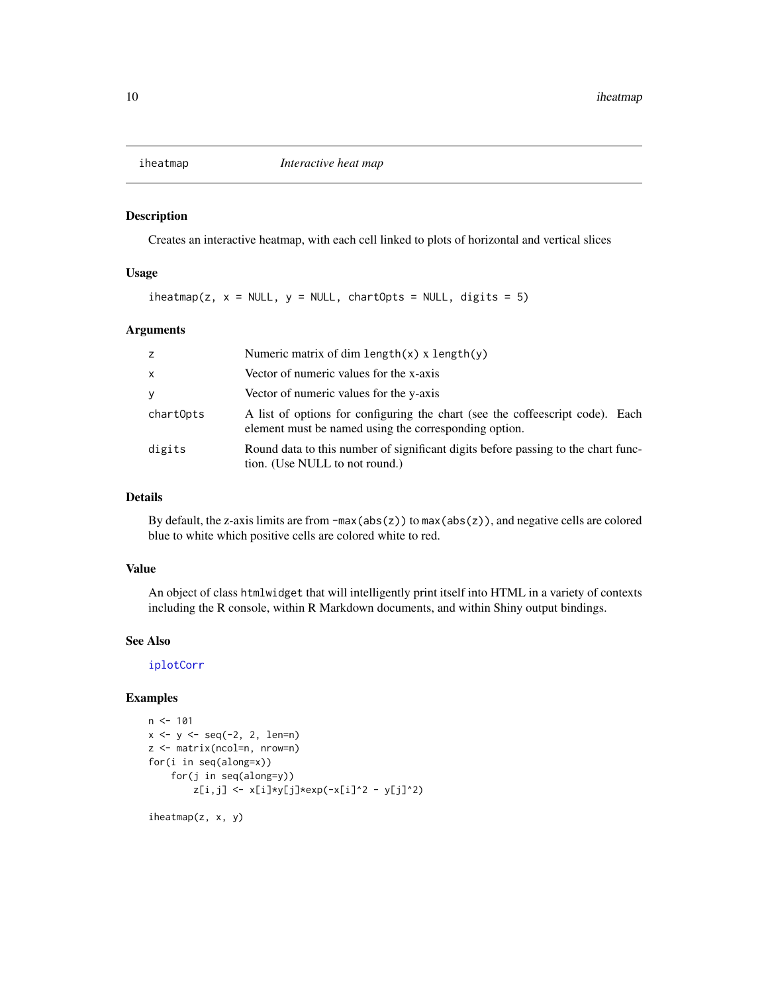<span id="page-9-1"></span><span id="page-9-0"></span>

Creates an interactive heatmap, with each cell linked to plots of horizontal and vertical slices

## Usage

 $i$ heatmap(z, x = NULL, y = NULL, chartOpts = NULL, digits = 5)

# Arguments

| z            | Numeric matrix of dim length $(x)$ x length $(y)$                                                                                      |
|--------------|----------------------------------------------------------------------------------------------------------------------------------------|
| $\mathsf{x}$ | Vector of numeric values for the x-axis                                                                                                |
| y            | Vector of numeric values for the y-axis                                                                                                |
| chartOpts    | A list of options for configuring the chart (see the coffeescript code). Each<br>element must be named using the corresponding option. |
| digits       | Round data to this number of significant digits before passing to the chart func-<br>tion. (Use NULL to not round.)                    |

## Details

By default, the z-axis limits are from -max(abs(z)) to max(abs(z)), and negative cells are colored blue to white which positive cells are colored white to red.

#### Value

An object of class htmlwidget that will intelligently print itself into HTML in a variety of contexts including the R console, within R Markdown documents, and within Shiny output bindings.

## See Also

[iplotCorr](#page-12-1)

## Examples

```
n < -101x \le -y \le -\text{seq}(-2, 2, \text{len=n})z <- matrix(ncol=n, nrow=n)
for(i in seq(along=x))
     for(j in seq(along=y))
          z[i,j] \leftarrow x[i] \star y[j] \star \exp(-x[i] \cdot 2 - y[j] \cdot 2)
```
iheatmap(z, x, y)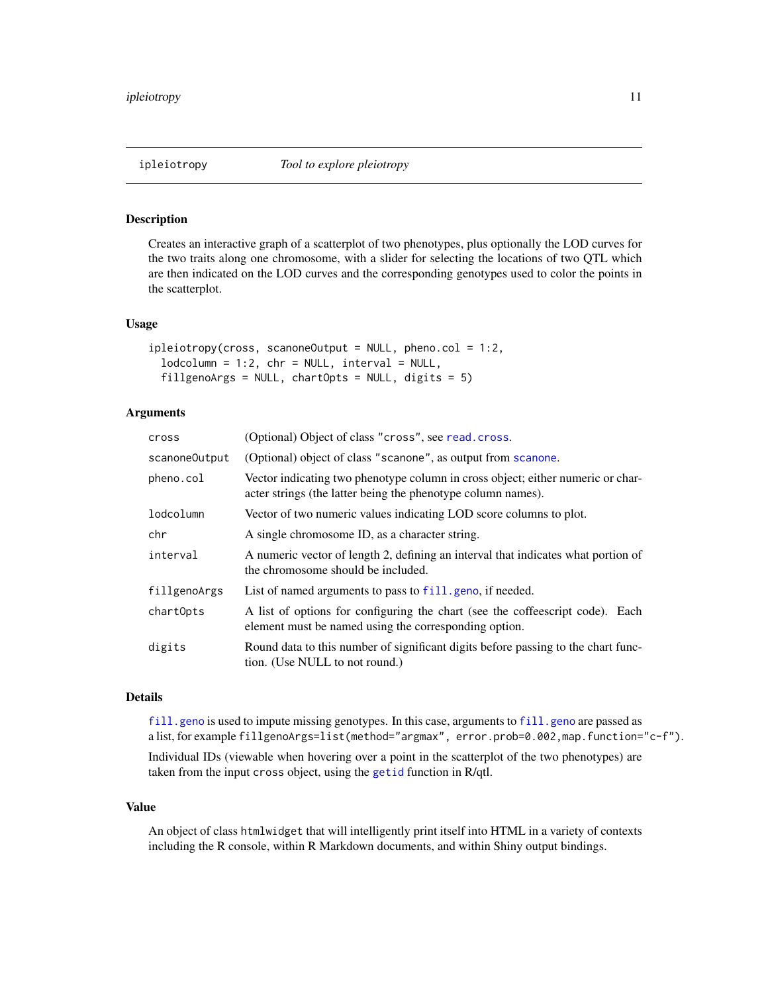<span id="page-10-0"></span>

Creates an interactive graph of a scatterplot of two phenotypes, plus optionally the LOD curves for the two traits along one chromosome, with a slider for selecting the locations of two QTL which are then indicated on the LOD curves and the corresponding genotypes used to color the points in the scatterplot.

#### Usage

```
ipleiotropy(cross, scanoneOutput = NULL, pheno.col = 1:2,
  1odcolumn = 1:2, chr = NULL, interval = NULL,
  fillgenoArgs = NULL, chartOpts = NULL, digits = 5)
```
# Arguments

| cross         | (Optional) Object of class "cross", see read.cross.                                                                                             |
|---------------|-------------------------------------------------------------------------------------------------------------------------------------------------|
| scanoneOutput | (Optional) object of class "scanone", as output from scanone.                                                                                   |
| pheno.col     | Vector indicating two phenotype column in cross object; either numeric or char-<br>acter strings (the latter being the phenotype column names). |
| lodcolumn     | Vector of two numeric values indicating LOD score columns to plot.                                                                              |
| chr           | A single chromosome ID, as a character string.                                                                                                  |
| interval      | A numeric vector of length 2, defining an interval that indicates what portion of<br>the chromosome should be included.                         |
| fillgenoArgs  | List of named arguments to pass to fill, geno, if needed.                                                                                       |
| chartOpts     | A list of options for configuring the chart (see the coffeescript code). Each<br>element must be named using the corresponding option.          |
| digits        | Round data to this number of significant digits before passing to the chart func-<br>tion. (Use NULL to not round.)                             |

# Details

[fill.geno](#page-0-0) is used to impute missing genotypes. In this case, arguments to fill.geno are passed as a list, for example fillgenoArgs=list(method="argmax", error.prob=0.002,map.function="c-f").

Individual IDs (viewable when hovering over a point in the scatterplot of the two phenotypes) are taken from the input cross object, using the [getid](#page-0-0) function in R/qtl.

#### Value

An object of class htmlwidget that will intelligently print itself into HTML in a variety of contexts including the R console, within R Markdown documents, and within Shiny output bindings.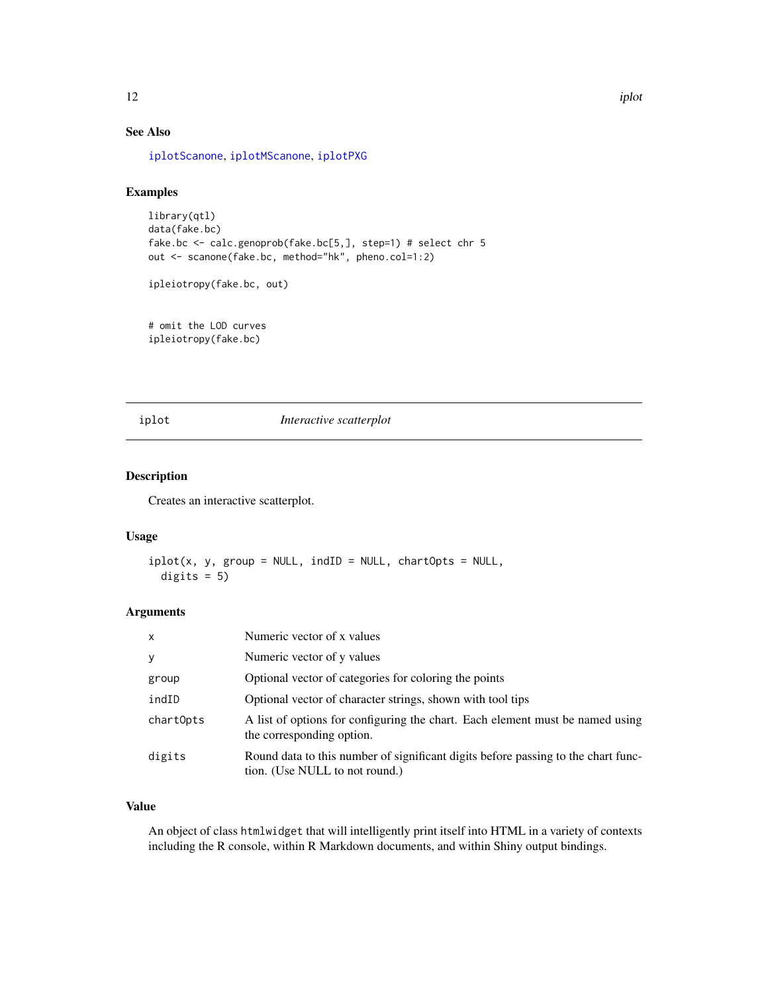# See Also

[iplotScanone](#page-20-1), [iplotMScanone](#page-16-1), [iplotPXG](#page-17-1)

# Examples

```
library(qtl)
data(fake.bc)
fake.bc <- calc.genoprob(fake.bc[5,], step=1) # select chr 5
out <- scanone(fake.bc, method="hk", pheno.col=1:2)
```
ipleiotropy(fake.bc, out)

# omit the LOD curves ipleiotropy(fake.bc)

## <span id="page-11-1"></span>iplot *Interactive scatterplot*

# Description

Creates an interactive scatterplot.

# Usage

```
iplot(x, y, group = NULL, indID = NULL, chartOpts = NULL,digits = 5)
```
## Arguments

| $\mathsf{x}$ | Numeric vector of x values                                                                                          |
|--------------|---------------------------------------------------------------------------------------------------------------------|
| У            | Numeric vector of y values                                                                                          |
| group        | Optional vector of categories for coloring the points                                                               |
| indID        | Optional vector of character strings, shown with tool tips                                                          |
| chartOpts    | A list of options for configuring the chart. Each element must be named using<br>the corresponding option.          |
| digits       | Round data to this number of significant digits before passing to the chart func-<br>tion. (Use NULL to not round.) |

# Value

An object of class htmlwidget that will intelligently print itself into HTML in a variety of contexts including the R console, within R Markdown documents, and within Shiny output bindings.

<span id="page-11-0"></span>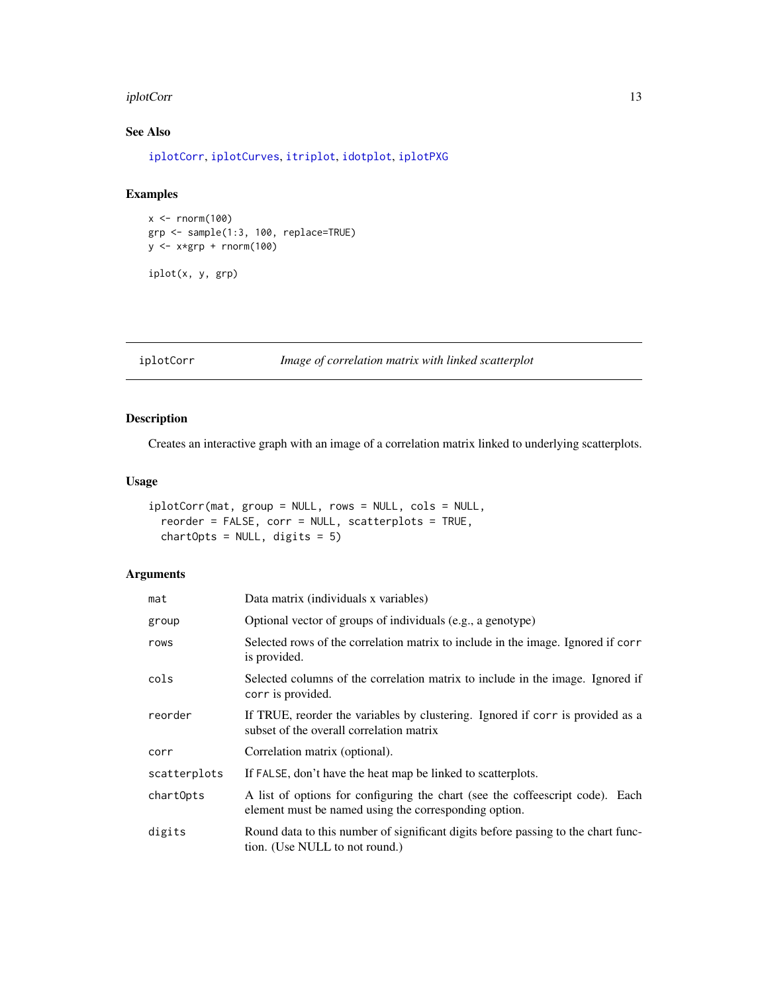#### <span id="page-12-0"></span>iplotCorr is a state of the state of the state of the state of the state of the state of the state of the state of the state of the state of the state of the state of the state of the state of the state of the state of the

# See Also

[iplotCorr](#page-12-1), [iplotCurves](#page-13-1), [itriplot](#page-23-1), [idotplot](#page-8-1), [iplotPXG](#page-17-1)

# Examples

```
x < - rnorm(100)
grp <- sample(1:3, 100, replace=TRUE)
y <- x*grp + rnorm(100)
```
iplot(x, y, grp)

<span id="page-12-1"></span>iplotCorr *Image of correlation matrix with linked scatterplot*

# Description

Creates an interactive graph with an image of a correlation matrix linked to underlying scatterplots.

# Usage

```
iplotCorr(mat, group = NULL, rows = NULL, cols = NULL,
 reorder = FALSE, corr = NULL, scatterplots = TRUE,
 chartOpts = NULL, digits = 5)
```

| mat          | Data matrix (individuals x variables)                                                                                                  |
|--------------|----------------------------------------------------------------------------------------------------------------------------------------|
| group        | Optional vector of groups of individuals (e.g., a genotype)                                                                            |
| rows         | Selected rows of the correlation matrix to include in the image. Ignored if corr<br>is provided.                                       |
| cols         | Selected columns of the correlation matrix to include in the image. Ignored if<br>corr is provided.                                    |
| reorder      | If TRUE, reorder the variables by clustering. Ignored if corr is provided as a<br>subset of the overall correlation matrix             |
| corr         | Correlation matrix (optional).                                                                                                         |
| scatterplots | If FALSE, don't have the heat map be linked to scatterplots.                                                                           |
| chartOpts    | A list of options for configuring the chart (see the coffeescript code). Each<br>element must be named using the corresponding option. |
| digits       | Round data to this number of significant digits before passing to the chart func-<br>tion. (Use NULL to not round.)                    |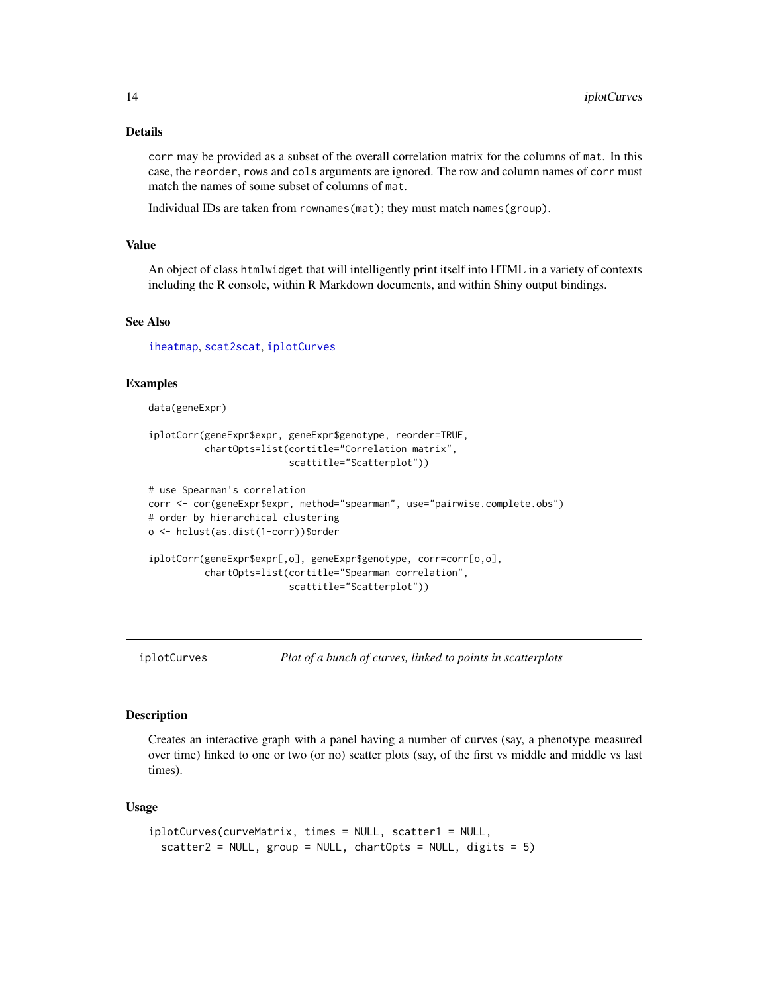## <span id="page-13-0"></span>Details

corr may be provided as a subset of the overall correlation matrix for the columns of mat. In this case, the reorder, rows and cols arguments are ignored. The row and column names of corr must match the names of some subset of columns of mat.

Individual IDs are taken from rownames(mat); they must match names(group).

## Value

An object of class htmlwidget that will intelligently print itself into HTML in a variety of contexts including the R console, within R Markdown documents, and within Shiny output bindings.

## See Also

[iheatmap](#page-9-1), [scat2scat](#page-24-1), [iplotCurves](#page-13-1)

#### Examples

data(geneExpr)

```
iplotCorr(geneExpr$expr, geneExpr$genotype, reorder=TRUE,
          chartOpts=list(cortitle="Correlation matrix",
                         scattitle="Scatterplot"))
```

```
# use Spearman's correlation
corr <- cor(geneExpr$expr, method="spearman", use="pairwise.complete.obs")
# order by hierarchical clustering
o <- hclust(as.dist(1-corr))$order
iplotCorr(geneExpr$expr[,o], geneExpr$genotype, corr=corr[o,o],
          chartOpts=list(cortitle="Spearman correlation",
                         scattitle="Scatterplot"))
```
<span id="page-13-1"></span>iplotCurves *Plot of a bunch of curves, linked to points in scatterplots*

## Description

Creates an interactive graph with a panel having a number of curves (say, a phenotype measured over time) linked to one or two (or no) scatter plots (say, of the first vs middle and middle vs last times).

#### Usage

```
iplotCurves(curveMatrix, times = NULL, scatter1 = NULL,
  scatter2 = NULL, group = NULL, chartOpts = NULL, digits = 5)
```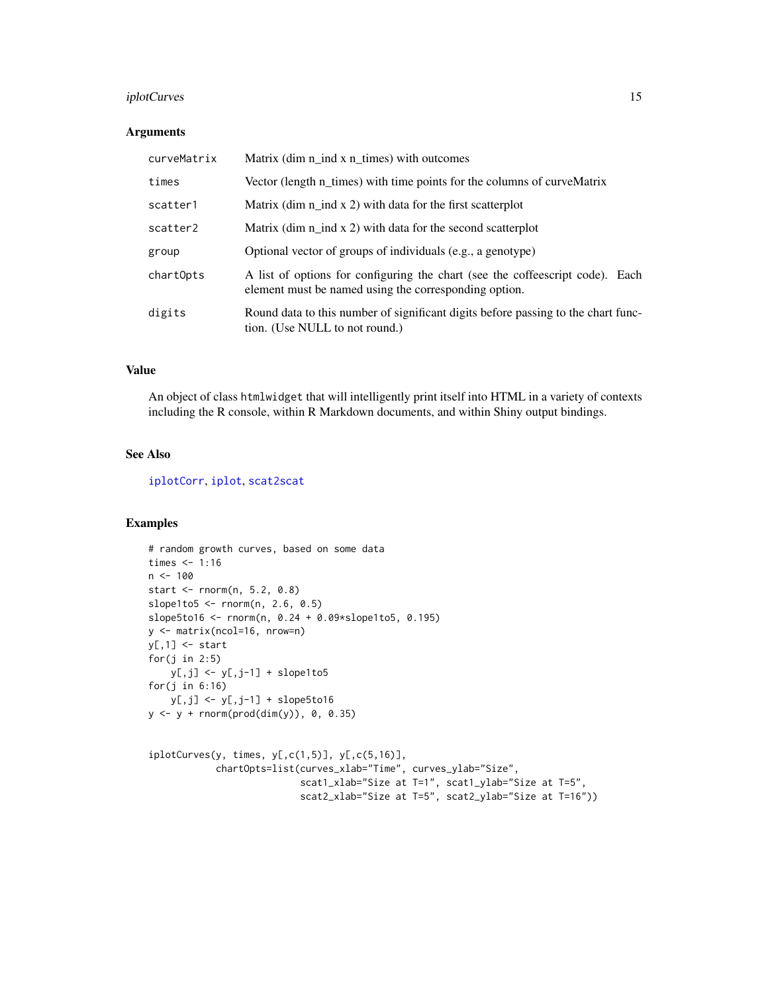# <span id="page-14-0"></span>iplotCurves 15

#### Arguments

| curveMatrix | Matrix (dim n_ind x n_times) with outcomes                                                                                             |
|-------------|----------------------------------------------------------------------------------------------------------------------------------------|
| times       | Vector (length n_times) with time points for the columns of curveMatrix                                                                |
| scatter1    | Matrix (dim $n$ ind x 2) with data for the first scatterplot                                                                           |
| scatter2    | Matrix (dim $n$ ind x 2) with data for the second scatterplot                                                                          |
| group       | Optional vector of groups of individuals (e.g., a genotype)                                                                            |
| chartOpts   | A list of options for configuring the chart (see the coffeescript code). Each<br>element must be named using the corresponding option. |
| digits      | Round data to this number of significant digits before passing to the chart func-<br>tion. (Use NULL to not round.)                    |

#### Value

An object of class htmlwidget that will intelligently print itself into HTML in a variety of contexts including the R console, within R Markdown documents, and within Shiny output bindings.

# See Also

[iplotCorr](#page-12-1), [iplot](#page-11-1), [scat2scat](#page-24-1)

```
# random growth curves, based on some data
times <-1:16n < -100start <- rnorm(n, 5.2, 0.8)
slope1to5 <- rnorm(n, 2.6, 0.5)
slope5to16 <- rnorm(n, 0.24 + 0.09*slope1to5, 0.195)
y <- matrix(ncol=16, nrow=n)
y[,1] <- start
for(j in 2:5)
    y[, j] <- y[, j-1] + slope1to5
for(j in 6:16)
    y[,j] <- y[,j-1] + slope5to16
y \le -y + \text{rnorm}(\text{prod}(dim(y)), 0, 0.35)iplotCurves(y, times, y[,c(1,5)], y[,c(5,16)],
            chartOpts=list(curves_xlab="Time", curves_ylab="Size",
                            scat1_xlab="Size at T=1", scat1_ylab="Size at T=5",
                            scat2_xlab="Size at T=5", scat2_ylab="Size at T=16"))
```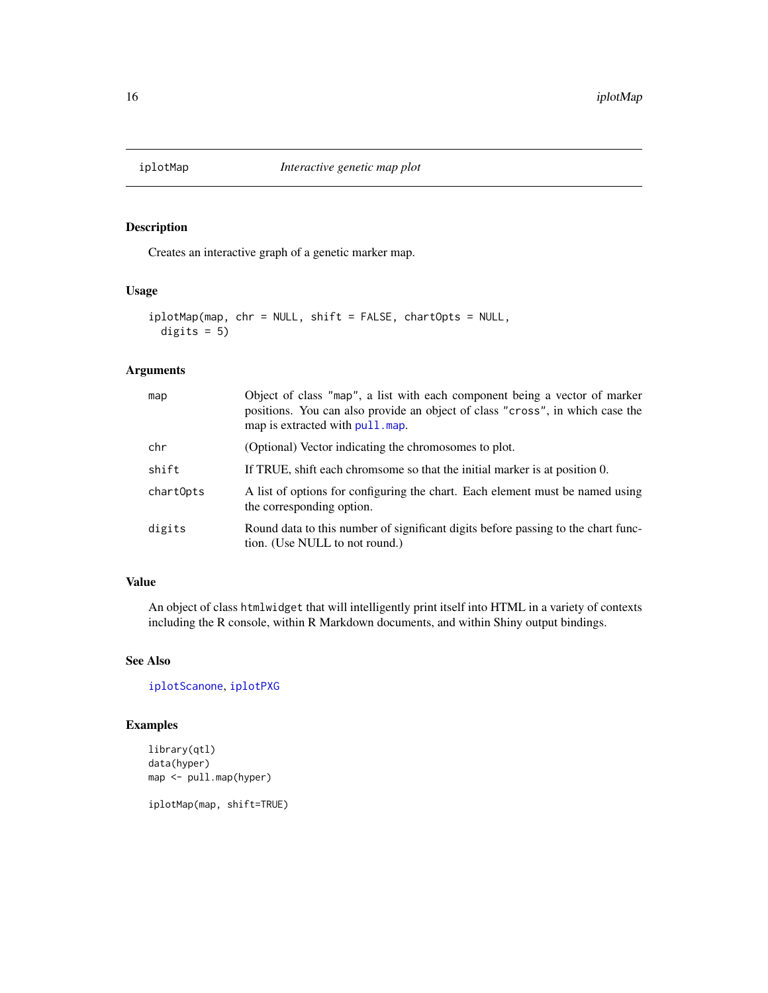<span id="page-15-1"></span><span id="page-15-0"></span>

Creates an interactive graph of a genetic marker map.

# Usage

```
iplotMap(map, chr = NULL, shift = FALSE, chartOpts = NULL,
 digits = 5)
```
## Arguments

| map       | Object of class "map", a list with each component being a vector of marker<br>positions. You can also provide an object of class "cross", in which case the<br>map is extracted with pull, map. |
|-----------|-------------------------------------------------------------------------------------------------------------------------------------------------------------------------------------------------|
| chr       | (Optional) Vector indicating the chromosomes to plot.                                                                                                                                           |
| shift     | If TRUE, shift each chromsome so that the initial marker is at position 0.                                                                                                                      |
| chartOpts | A list of options for configuring the chart. Each element must be named using<br>the corresponding option.                                                                                      |
| digits    | Round data to this number of significant digits before passing to the chart func-<br>tion. (Use NULL to not round.)                                                                             |

# Value

An object of class htmlwidget that will intelligently print itself into HTML in a variety of contexts including the R console, within R Markdown documents, and within Shiny output bindings.

# See Also

[iplotScanone](#page-20-1), [iplotPXG](#page-17-1)

```
library(qtl)
data(hyper)
map <- pull.map(hyper)
iplotMap(map, shift=TRUE)
```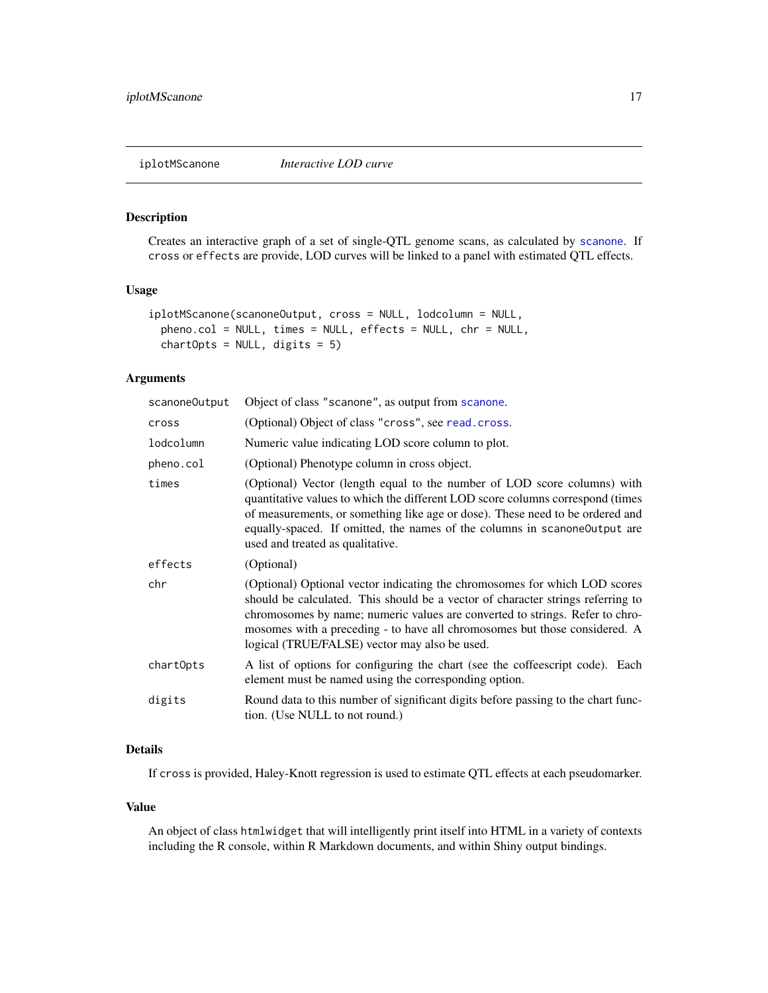<span id="page-16-1"></span><span id="page-16-0"></span>Creates an interactive graph of a set of single-QTL genome scans, as calculated by [scanone](#page-0-0). If cross or effects are provide, LOD curves will be linked to a panel with estimated QTL effects.

# Usage

```
iplotMScanone(scanoneOutput, cross = NULL, lodcolumn = NULL,
 pheno.col = NULL, times = NULL, effects = NULL, chr = NULL,
 chartOrts = NULL, digits = 5)
```
# Arguments

| scanoneOutput | Object of class "scanone", as output from scanone.                                                                                                                                                                                                                                                                                                                           |
|---------------|------------------------------------------------------------------------------------------------------------------------------------------------------------------------------------------------------------------------------------------------------------------------------------------------------------------------------------------------------------------------------|
| cross         | (Optional) Object of class "cross", see read.cross.                                                                                                                                                                                                                                                                                                                          |
| lodcolumn     | Numeric value indicating LOD score column to plot.                                                                                                                                                                                                                                                                                                                           |
| pheno.col     | (Optional) Phenotype column in cross object.                                                                                                                                                                                                                                                                                                                                 |
| times         | (Optional) Vector (length equal to the number of LOD score columns) with<br>quantitative values to which the different LOD score columns correspond (times<br>of measurements, or something like age or dose). These need to be ordered and<br>equally-spaced. If omitted, the names of the columns in scanone Output are<br>used and treated as qualitative.                |
| effects       | (Optional)                                                                                                                                                                                                                                                                                                                                                                   |
| chr           | (Optional) Optional vector indicating the chromosomes for which LOD scores<br>should be calculated. This should be a vector of character strings referring to<br>chromosomes by name; numeric values are converted to strings. Refer to chro-<br>mosomes with a preceding - to have all chromosomes but those considered. A<br>logical (TRUE/FALSE) vector may also be used. |
| chartOpts     | A list of options for configuring the chart (see the coffeescript code). Each<br>element must be named using the corresponding option.                                                                                                                                                                                                                                       |
| digits        | Round data to this number of significant digits before passing to the chart func-<br>tion. (Use NULL to not round.)                                                                                                                                                                                                                                                          |
|               |                                                                                                                                                                                                                                                                                                                                                                              |

# Details

If cross is provided, Haley-Knott regression is used to estimate QTL effects at each pseudomarker.

## Value

An object of class htmlwidget that will intelligently print itself into HTML in a variety of contexts including the R console, within R Markdown documents, and within Shiny output bindings.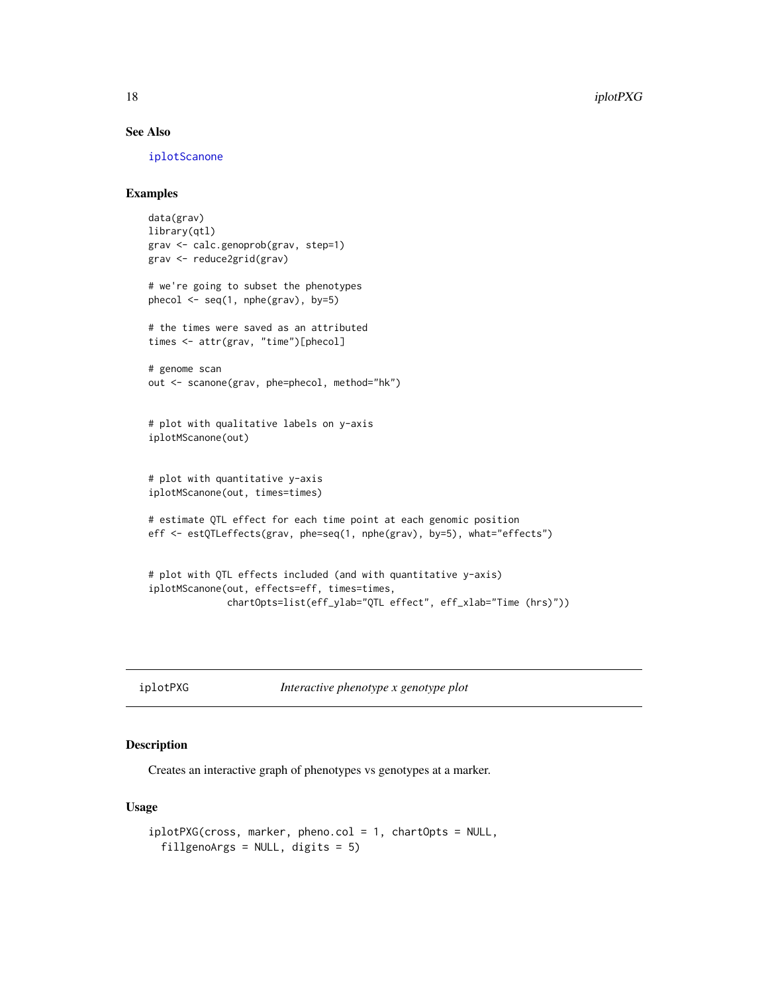# See Also

[iplotScanone](#page-20-1)

# Examples

```
data(grav)
library(qtl)
grav <- calc.genoprob(grav, step=1)
grav <- reduce2grid(grav)
# we're going to subset the phenotypes
phecol \leq seq(1, nphe(grav), by=5)
# the times were saved as an attributed
times <- attr(grav, "time")[phecol]
# genome scan
out <- scanone(grav, phe=phecol, method="hk")
# plot with qualitative labels on y-axis
iplotMScanone(out)
# plot with quantitative y-axis
iplotMScanone(out, times=times)
# estimate QTL effect for each time point at each genomic position
eff <- estQTLeffects(grav, phe=seq(1, nphe(grav), by=5), what="effects")
# plot with QTL effects included (and with quantitative y-axis)
iplotMScanone(out, effects=eff, times=times,
              chartOpts=list(eff_ylab="QTL effect", eff_xlab="Time (hrs)"))
```
<span id="page-17-1"></span>iplotPXG *Interactive phenotype x genotype plot*

# Description

Creates an interactive graph of phenotypes vs genotypes at a marker.

## Usage

```
iplotPXG(cross, marker, pheno.col = 1, chartOpts = NULL,
 fillgenoArgs = NULL, digits = 5)
```
<span id="page-17-0"></span>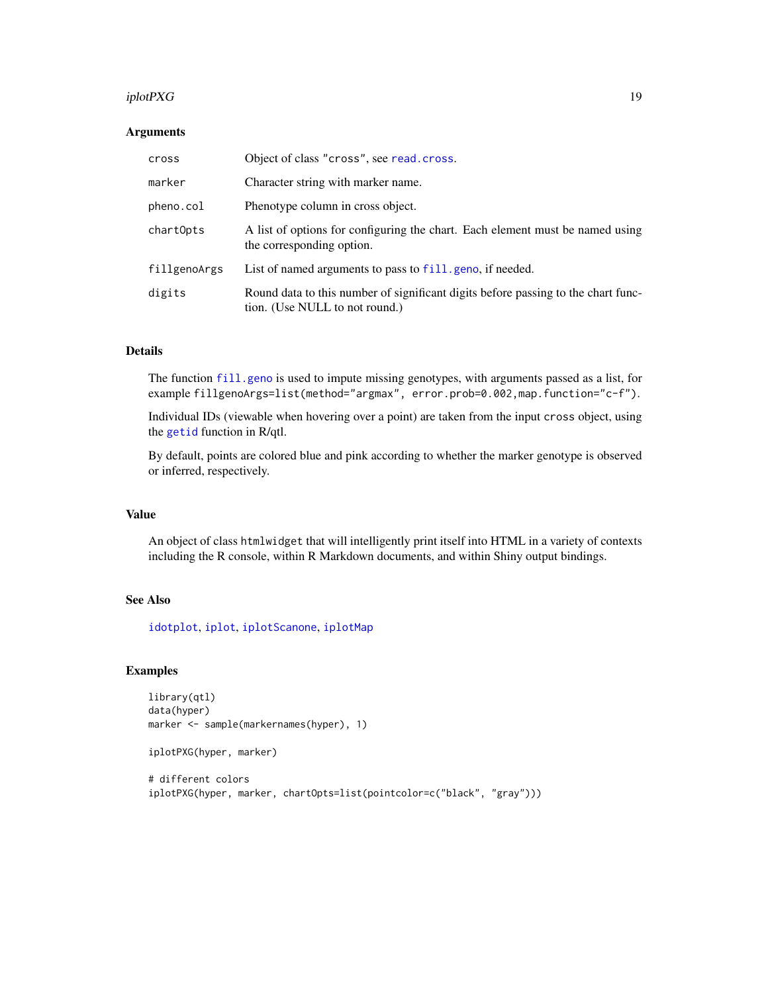#### <span id="page-18-0"></span> $iplotP XG$  and  $19$

## **Arguments**

| cross        | Object of class "cross", see read.cross.                                                                            |
|--------------|---------------------------------------------------------------------------------------------------------------------|
| marker       | Character string with marker name.                                                                                  |
| pheno.col    | Phenotype column in cross object.                                                                                   |
| chartOpts    | A list of options for configuring the chart. Each element must be named using<br>the corresponding option.          |
| fillgenoArgs | List of named arguments to pass to fill, geno, if needed.                                                           |
| digits       | Round data to this number of significant digits before passing to the chart func-<br>tion. (Use NULL to not round.) |

# Details

The function [fill.geno](#page-0-0) is used to impute missing genotypes, with arguments passed as a list, for example fillgenoArgs=list(method="argmax", error.prob=0.002,map.function="c-f").

Individual IDs (viewable when hovering over a point) are taken from the input cross object, using the [getid](#page-0-0) function in R/qtl.

By default, points are colored blue and pink according to whether the marker genotype is observed or inferred, respectively.

## Value

An object of class htmlwidget that will intelligently print itself into HTML in a variety of contexts including the R console, within R Markdown documents, and within Shiny output bindings.

# See Also

[idotplot](#page-8-1), [iplot](#page-11-1), [iplotScanone](#page-20-1), [iplotMap](#page-15-1)

```
library(qtl)
data(hyper)
marker <- sample(markernames(hyper), 1)
```

```
iplotPXG(hyper, marker)
```

```
# different colors
iplotPXG(hyper, marker, chartOpts=list(pointcolor=c("black", "gray")))
```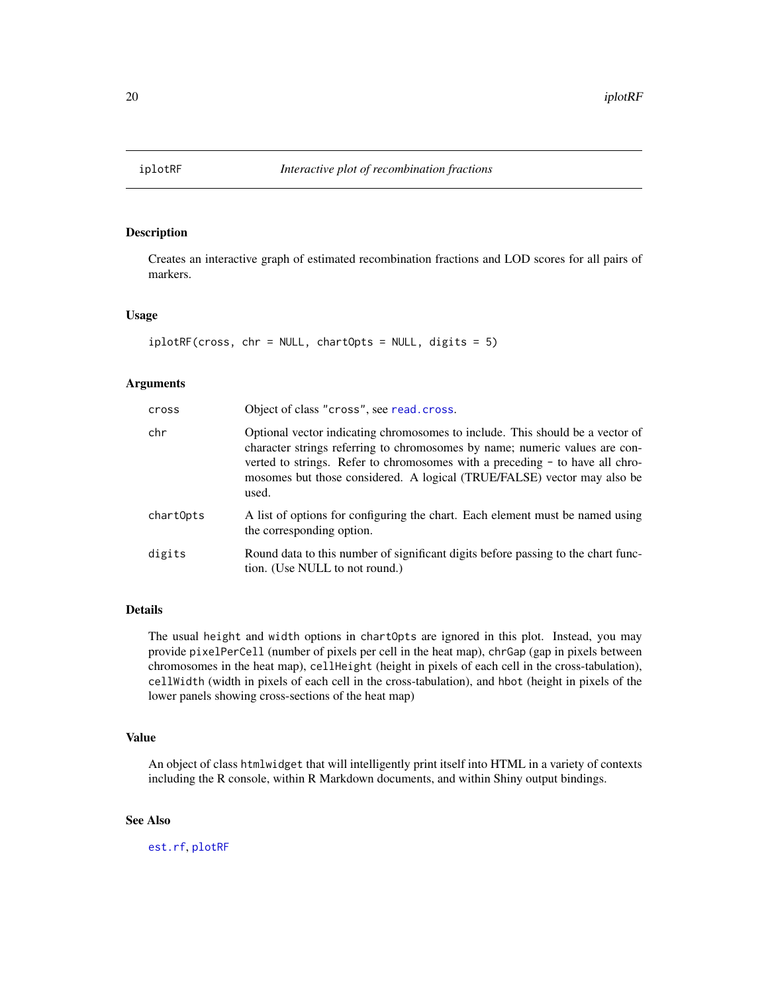<span id="page-19-0"></span>

Creates an interactive graph of estimated recombination fractions and LOD scores for all pairs of markers.

#### Usage

```
iplotRF(cross, chr = NULL, chartOpts = NULL, digits = 5)
```
## Arguments

| cross     | Object of class "cross", see read. cross.                                                                                                                                                                                                                                                                                        |
|-----------|----------------------------------------------------------------------------------------------------------------------------------------------------------------------------------------------------------------------------------------------------------------------------------------------------------------------------------|
| chr       | Optional vector indicating chromosomes to include. This should be a vector of<br>character strings referring to chromosomes by name; numeric values are con-<br>verted to strings. Refer to chromosomes with a preceding - to have all chro-<br>mosomes but those considered. A logical (TRUE/FALSE) vector may also be<br>used. |
| chartOpts | A list of options for configuring the chart. Each element must be named using<br>the corresponding option.                                                                                                                                                                                                                       |
| digits    | Round data to this number of significant digits before passing to the chart func-<br>tion. (Use NULL to not round.)                                                                                                                                                                                                              |

# Details

The usual height and width options in chartOpts are ignored in this plot. Instead, you may provide pixelPerCell (number of pixels per cell in the heat map), chrGap (gap in pixels between chromosomes in the heat map), cellHeight (height in pixels of each cell in the cross-tabulation), cellWidth (width in pixels of each cell in the cross-tabulation), and hbot (height in pixels of the lower panels showing cross-sections of the heat map)

# Value

An object of class htmlwidget that will intelligently print itself into HTML in a variety of contexts including the R console, within R Markdown documents, and within Shiny output bindings.

## See Also

[est.rf](#page-0-0), [plotRF](#page-0-0)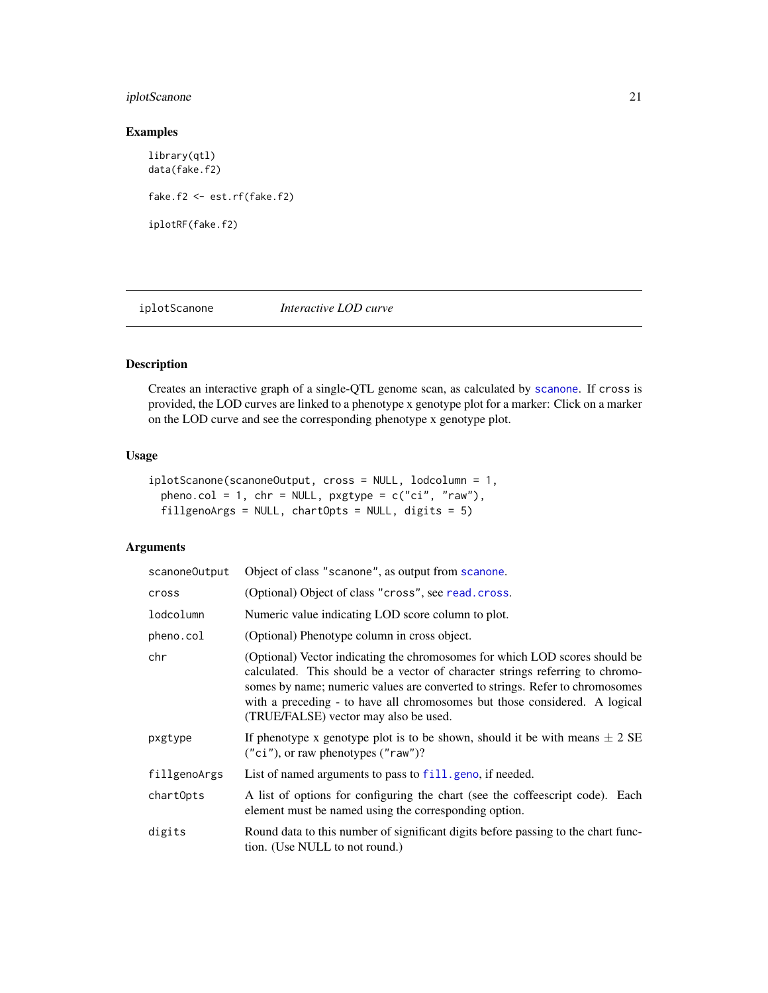# <span id="page-20-0"></span>iplotScanone 21

## Examples

library(qtl) data(fake.f2) fake.f2 <- est.rf(fake.f2) iplotRF(fake.f2)

<span id="page-20-1"></span>iplotScanone *Interactive LOD curve*

# Description

Creates an interactive graph of a single-QTL genome scan, as calculated by [scanone](#page-0-0). If cross is provided, the LOD curves are linked to a phenotype x genotype plot for a marker: Click on a marker on the LOD curve and see the corresponding phenotype x genotype plot.

# Usage

```
iplotScanone(scanoneOutput, cross = NULL, lodcolumn = 1,
 pheno.col = 1, chr = NULL, pxstyle = c("ci", "raw"),fillgenoArgs = NULL, chartOpts = NULL, digits = 5)
```

| scanoneOutput | Object of class "scanone", as output from scanone.                                                                                                                                                                                                                                                                                                                  |
|---------------|---------------------------------------------------------------------------------------------------------------------------------------------------------------------------------------------------------------------------------------------------------------------------------------------------------------------------------------------------------------------|
| cross         | (Optional) Object of class "cross", see read.cross.                                                                                                                                                                                                                                                                                                                 |
| lodcolumn     | Numeric value indicating LOD score column to plot.                                                                                                                                                                                                                                                                                                                  |
| pheno.col     | (Optional) Phenotype column in cross object.                                                                                                                                                                                                                                                                                                                        |
| chr           | (Optional) Vector indicating the chromosomes for which LOD scores should be<br>calculated. This should be a vector of character strings referring to chromo-<br>somes by name; numeric values are converted to strings. Refer to chromosomes<br>with a preceding - to have all chromosomes but those considered. A logical<br>(TRUE/FALSE) vector may also be used. |
| pxgtype       | If phenotype x genotype plot is to be shown, should it be with means $\pm 2$ SE<br>$("ci"),$ or raw phenotypes $("raw")$ ?                                                                                                                                                                                                                                          |
| fillgenoArgs  | List of named arguments to pass to fill, geno, if needed.                                                                                                                                                                                                                                                                                                           |
| chartOpts     | A list of options for configuring the chart (see the coffeescript code). Each<br>element must be named using the corresponding option.                                                                                                                                                                                                                              |
| digits        | Round data to this number of significant digits before passing to the chart func-<br>tion. (Use NULL to not round.)                                                                                                                                                                                                                                                 |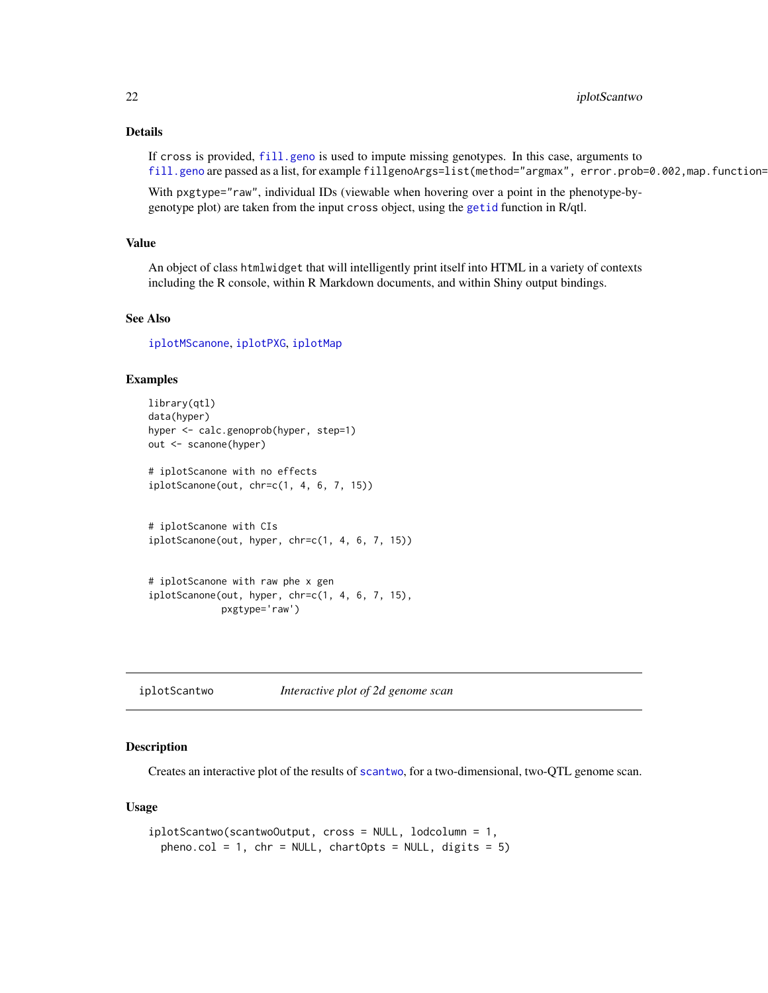# <span id="page-21-0"></span>Details

If cross is provided, [fill.geno](#page-0-0) is used to impute missing genotypes. In this case, arguments to [fill.geno](#page-0-0) are passed as a list, for example fillgenoArgs=list(method="argmax", error.prob=0.002,map.function=

With pxgtype="raw", individual IDs (viewable when hovering over a point in the phenotype-bygenotype plot) are taken from the input cross object, using the [getid](#page-0-0) function in R/qtl.

# Value

An object of class htmlwidget that will intelligently print itself into HTML in a variety of contexts including the R console, within R Markdown documents, and within Shiny output bindings.

## See Also

[iplotMScanone](#page-16-1), [iplotPXG](#page-17-1), [iplotMap](#page-15-1)

## Examples

```
library(qtl)
data(hyper)
hyper <- calc.genoprob(hyper, step=1)
out <- scanone(hyper)
# iplotScanone with no effects
iplotScanone(out, chr=c(1, 4, 6, 7, 15))
# iplotScanone with CIs
iplotScanone(out, hyper, chr=c(1, 4, 6, 7, 15))
# iplotScanone with raw phe x gen
iplotScanone(out, hyper, chr=c(1, 4, 6, 7, 15),
             pxgtype='raw')
```
iplotScantwo *Interactive plot of 2d genome scan*

## Description

Creates an interactive plot of the results of [scantwo](#page-0-0), for a two-dimensional, two-QTL genome scan.

#### Usage

```
iplotScantwo(scantwoOutput, cross = NULL, lodcolumn = 1,
 pheno.col = 1, chr = NULL, chartOrts = NULL, digits = 5)
```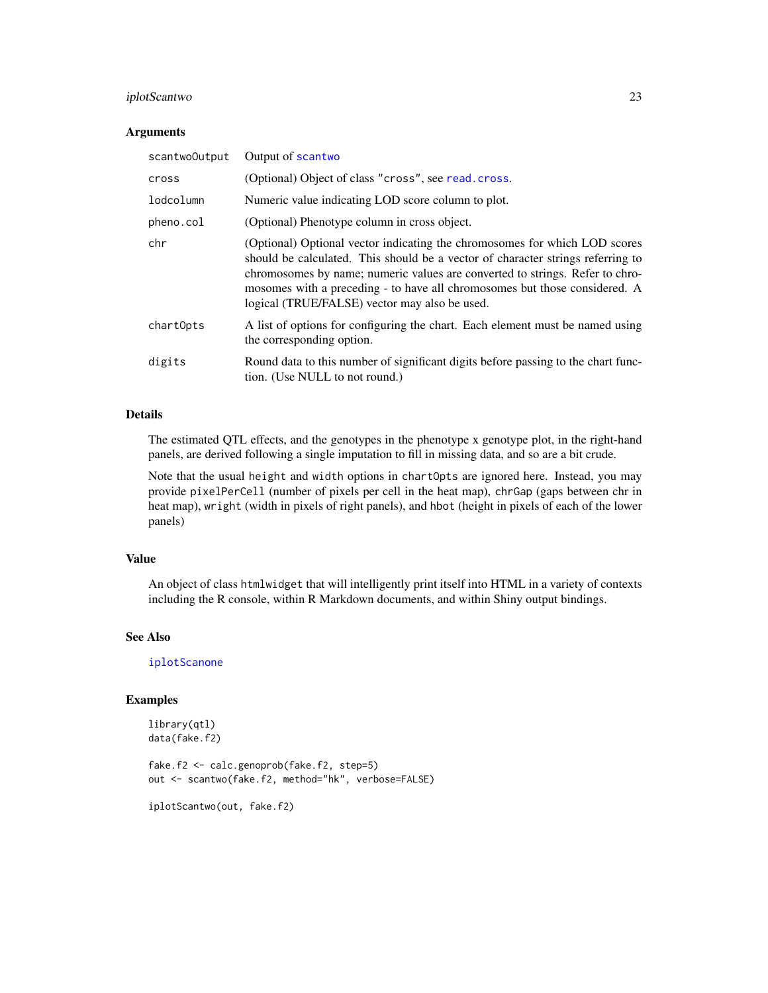# <span id="page-22-0"></span>iplotScantwo 23

#### **Arguments**

| scantwoOutput | Output of scantwo                                                                                                                                                                                                                                                                                                                                                            |
|---------------|------------------------------------------------------------------------------------------------------------------------------------------------------------------------------------------------------------------------------------------------------------------------------------------------------------------------------------------------------------------------------|
| cross         | (Optional) Object of class "cross", see read.cross.                                                                                                                                                                                                                                                                                                                          |
| lodcolumn     | Numeric value indicating LOD score column to plot.                                                                                                                                                                                                                                                                                                                           |
| pheno.col     | (Optional) Phenotype column in cross object.                                                                                                                                                                                                                                                                                                                                 |
| chr           | (Optional) Optional vector indicating the chromosomes for which LOD scores<br>should be calculated. This should be a vector of character strings referring to<br>chromosomes by name; numeric values are converted to strings. Refer to chro-<br>mosomes with a preceding - to have all chromosomes but those considered. A<br>logical (TRUE/FALSE) vector may also be used. |
| chartOpts     | A list of options for configuring the chart. Each element must be named using<br>the corresponding option.                                                                                                                                                                                                                                                                   |
| digits        | Round data to this number of significant digits before passing to the chart func-<br>tion. (Use NULL to not round.)                                                                                                                                                                                                                                                          |

# Details

The estimated QTL effects, and the genotypes in the phenotype x genotype plot, in the right-hand panels, are derived following a single imputation to fill in missing data, and so are a bit crude.

Note that the usual height and width options in chartOpts are ignored here. Instead, you may provide pixelPerCell (number of pixels per cell in the heat map), chrGap (gaps between chr in heat map), wright (width in pixels of right panels), and hbot (height in pixels of each of the lower panels)

## Value

An object of class htmlwidget that will intelligently print itself into HTML in a variety of contexts including the R console, within R Markdown documents, and within Shiny output bindings.

## See Also

[iplotScanone](#page-20-1)

## Examples

```
library(qtl)
data(fake.f2)
```
fake.f2 <- calc.genoprob(fake.f2, step=5) out <- scantwo(fake.f2, method="hk", verbose=FALSE)

iplotScantwo(out, fake.f2)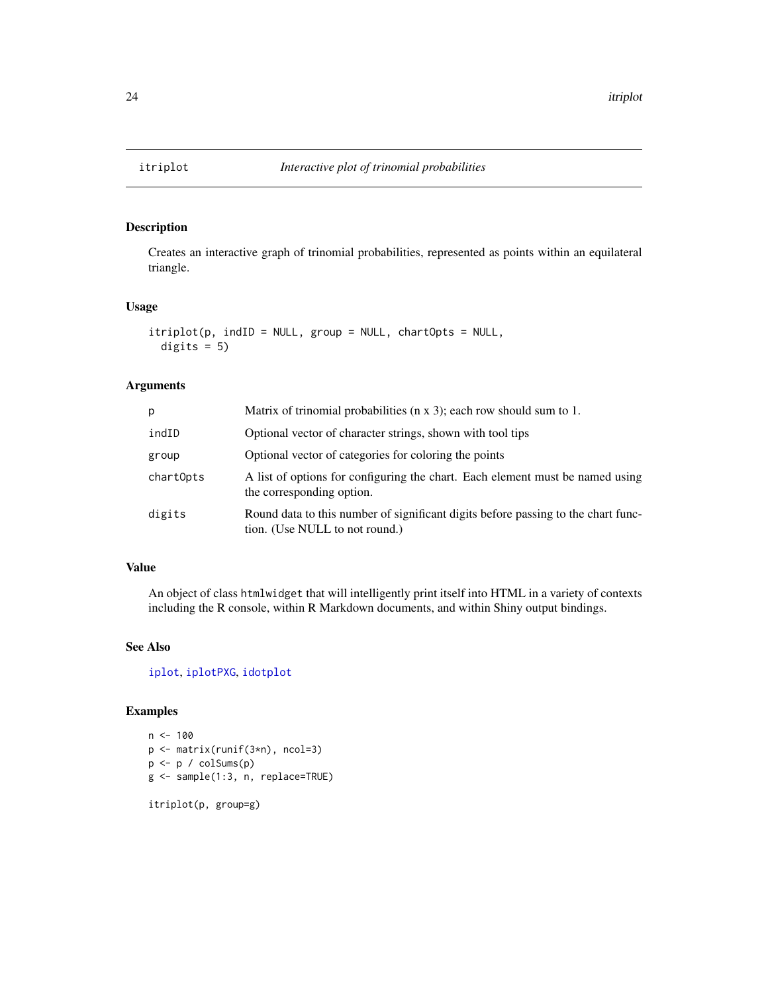<span id="page-23-1"></span><span id="page-23-0"></span>

Creates an interactive graph of trinomial probabilities, represented as points within an equilateral triangle.

## Usage

```
itriplot(p, indID = NULL, group = NULL, chartOpts = NULL,
 digits = 5)
```
# Arguments

| D.        | Matrix of trinomial probabilities $(n \times 3)$ ; each row should sum to 1.                                        |
|-----------|---------------------------------------------------------------------------------------------------------------------|
| indID     | Optional vector of character strings, shown with tool tips                                                          |
| group     | Optional vector of categories for coloring the points                                                               |
| chartOpts | A list of options for configuring the chart. Each element must be named using<br>the corresponding option.          |
| digits    | Round data to this number of significant digits before passing to the chart func-<br>tion. (Use NULL to not round.) |

# Value

An object of class htmlwidget that will intelligently print itself into HTML in a variety of contexts including the R console, within R Markdown documents, and within Shiny output bindings.

# See Also

[iplot](#page-11-1), [iplotPXG](#page-17-1), [idotplot](#page-8-1)

# Examples

```
n < - 100p <- matrix(runif(3*n), ncol=3)
p <- p / colSums(p)
g <- sample(1:3, n, replace=TRUE)
```
itriplot(p, group=g)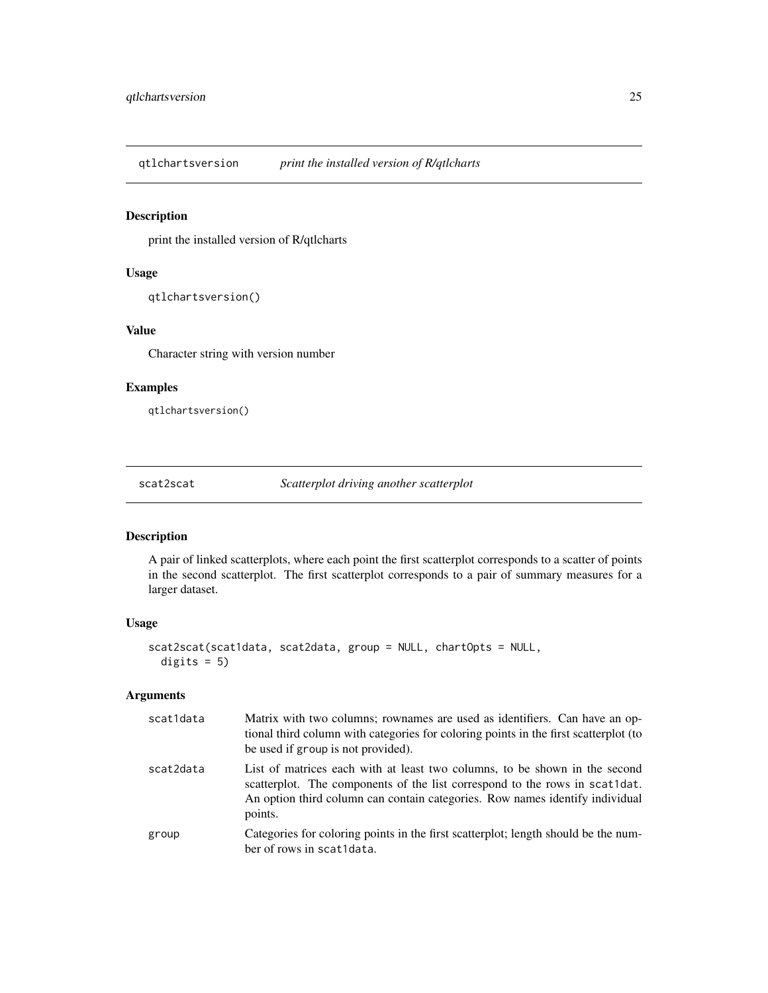<span id="page-24-0"></span>qtlchartsversion *print the installed version of R/qtlcharts*

# Description

print the installed version of R/qtlcharts

# Usage

```
qtlchartsversion()
```
## Value

Character string with version number

# Examples

qtlchartsversion()

<span id="page-24-1"></span>scat2scat *Scatterplot driving another scatterplot*

# Description

A pair of linked scatterplots, where each point the first scatterplot corresponds to a scatter of points in the second scatterplot. The first scatterplot corresponds to a pair of summary measures for a larger dataset.

## Usage

```
scat2scat(scat1data, scat2data, group = NULL, chartOpts = NULL,
 digits = 5)
```

| scat1data | Matrix with two columns; rownames are used as identifiers. Can have an op-<br>tional third column with categories for coloring points in the first scatterplot (to<br>be used if group is not provided).                                             |
|-----------|------------------------------------------------------------------------------------------------------------------------------------------------------------------------------------------------------------------------------------------------------|
| scat2data | List of matrices each with at least two columns, to be shown in the second<br>scatterplot. The components of the list correspond to the rows in scat1dat.<br>An option third column can contain categories. Row names identify individual<br>points. |
| group     | Categories for coloring points in the first scatterplot; length should be the num-<br>ber of rows in scat1data.                                                                                                                                      |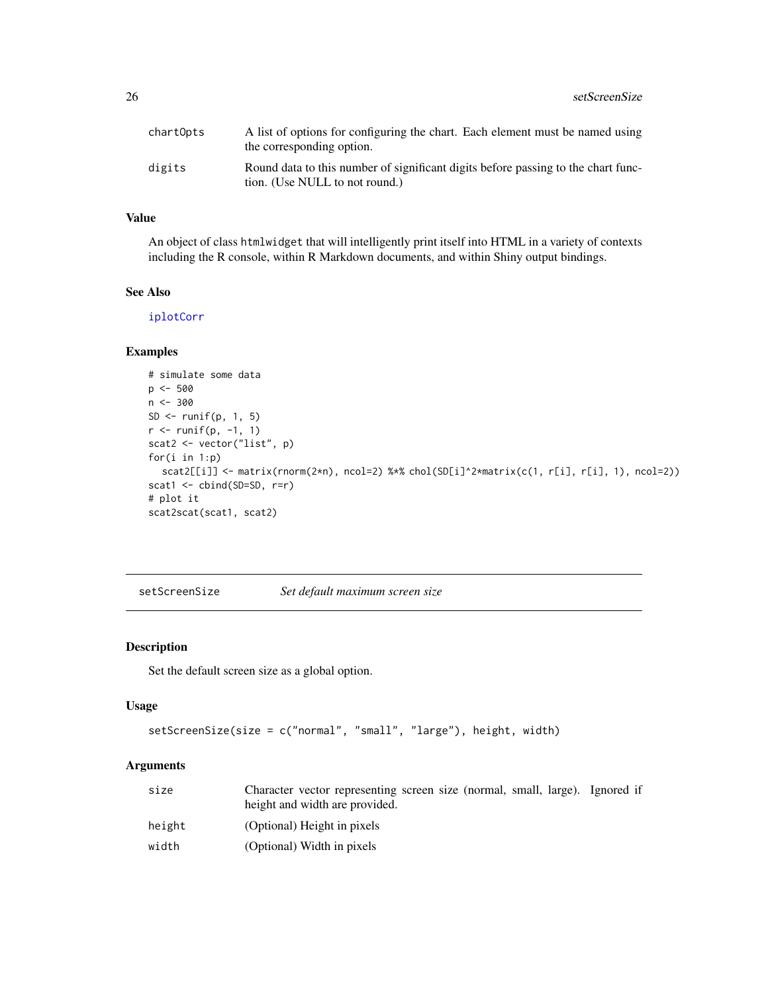<span id="page-25-0"></span>

| chartOpts | A list of options for configuring the chart. Each element must be named using<br>the corresponding option.          |
|-----------|---------------------------------------------------------------------------------------------------------------------|
| digits    | Round data to this number of significant digits before passing to the chart func-<br>tion. (Use NULL to not round.) |

# Value

An object of class htmlwidget that will intelligently print itself into HTML in a variety of contexts including the R console, within R Markdown documents, and within Shiny output bindings.

## See Also

[iplotCorr](#page-12-1)

# Examples

```
# simulate some data
p <- 500
n < -300SD \leftarrow runif(p, 1, 5)
r <- runif(p, -1, 1)
scat2 <- vector("list", p)
for(i in 1:p)
  scat2[[i]] <- matrix(rnorm(2*n), ncol=2) %*% chol(SD[i]^2*matrix(c(1, r[i], r[i], 1), ncol=2))
scat1 <- cbind(SD=SD, r=r)
# plot it
scat2scat(scat1, scat2)
```
setScreenSize *Set default maximum screen size*

# Description

Set the default screen size as a global option.

#### Usage

```
setScreenSize(size = c("normal", "small", "large"), height, width)
```

| size   | Character vector representing screen size (normal, small, large). Ignored if<br>height and width are provided. |
|--------|----------------------------------------------------------------------------------------------------------------|
| height | (Optional) Height in pixels                                                                                    |
| width  | (Optional) Width in pixels                                                                                     |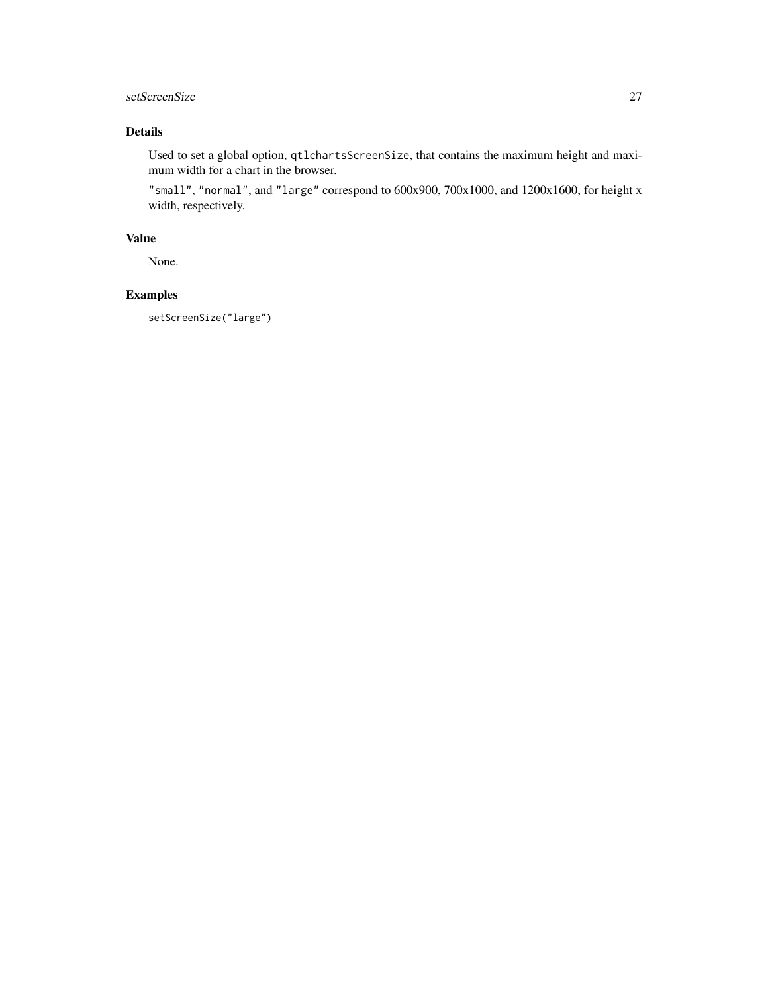# setScreenSize 27

# Details

Used to set a global option, qtlchartsScreenSize, that contains the maximum height and maximum width for a chart in the browser.

"small", "normal", and "large" correspond to 600x900, 700x1000, and 1200x1600, for height x width, respectively.

# Value

None.

# Examples

setScreenSize("large")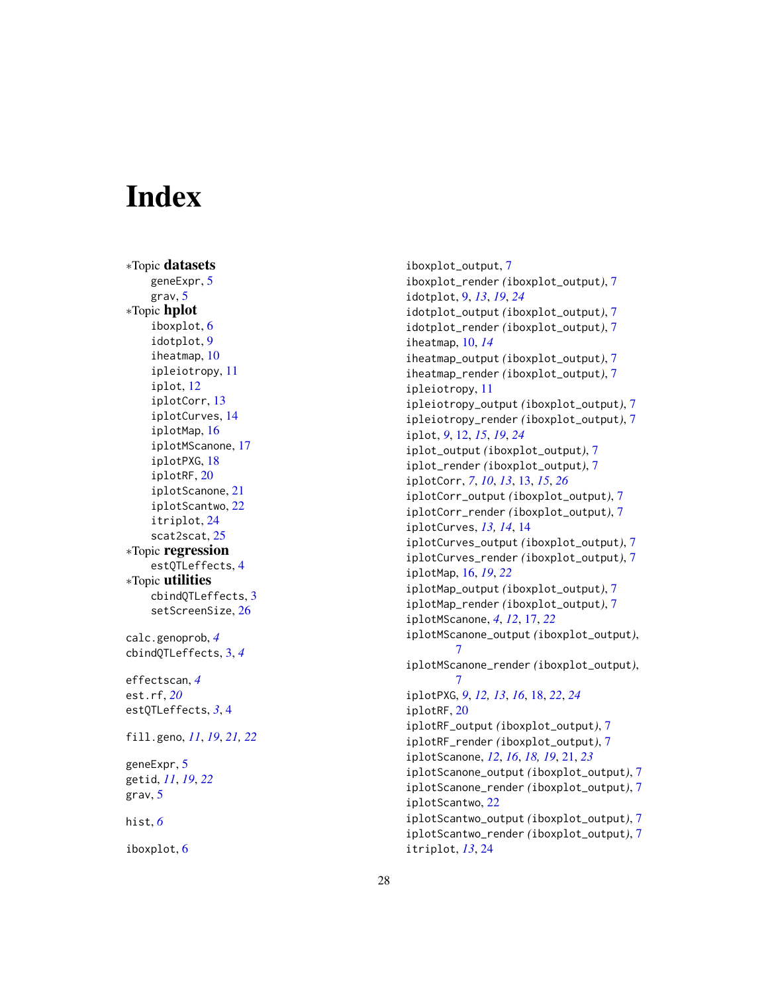# <span id="page-27-0"></span>**Index**

∗Topic datasets geneExpr , [5](#page-4-0) grav , [5](#page-4-0) ∗Topic hplot iboxplot , [6](#page-5-0) idotplot , [9](#page-8-0) iheatmap , [10](#page-9-0) ipleiotropy , [11](#page-10-0) iplot , [12](#page-11-0) iplotCorr , [13](#page-12-0) iplotCurves , [14](#page-13-0) iplotMap , [16](#page-15-0) iplotMScanone , [17](#page-16-0) iplotPXG , [18](#page-17-0) iplotRF , [20](#page-19-0) iplotScanone , [21](#page-20-0) iplotScantwo , [22](#page-21-0) itriplot , [24](#page-23-0) scat2scat , [25](#page-24-0) ∗Topic regression estQTLeffects , [4](#page-3-0) ∗Topic utilities cbindQTLeffects , [3](#page-2-0) setScreenSize, [26](#page-25-0) calc.genoprob , *[4](#page-3-0)* cbindQTLeffects , [3](#page-2-0) , *[4](#page-3-0)* effectscan , *[4](#page-3-0)* est.rf , *[20](#page-19-0)* estQTLeffects , *[3](#page-2-0)* , [4](#page-3-0) fill.geno , *[11](#page-10-0)* , *[19](#page-18-0)* , *[21](#page-20-0) , [22](#page-21-0)* geneExpr , [5](#page-4-0) getid , *[11](#page-10-0)* , *[19](#page-18-0)* , *[22](#page-21-0)* grav , [5](#page-4-0) hist , *[6](#page-5-0)* iboxplot , [6](#page-5-0)

iboxplot\_output , [7](#page-6-0) iboxplot\_render *(*iboxplot\_output *)* , [7](#page-6-0) idotplot , [9](#page-8-0) , *[13](#page-12-0)* , *[19](#page-18-0)* , *[24](#page-23-0)* idotplot\_output *(*iboxplot\_output *)* , [7](#page-6-0) idotplot\_render *(*iboxplot\_output *)* , [7](#page-6-0) iheatmap , [10](#page-9-0) , *[14](#page-13-0)* iheatmap\_output *(*iboxplot\_output *)* , [7](#page-6-0) iheatmap\_render *(*iboxplot\_output *)* , [7](#page-6-0) ipleiotropy , [11](#page-10-0) ipleiotropy\_output *(*iboxplot\_output *)* , [7](#page-6-0) ipleiotropy\_render *(*iboxplot\_output *)* , [7](#page-6-0) iplot , *[9](#page-8-0)* , [12](#page-11-0) , *[15](#page-14-0)* , *[19](#page-18-0)* , *[24](#page-23-0)* iplot\_output *(*iboxplot\_output *)* , [7](#page-6-0) iplot\_render *(*iboxplot\_output *)* , [7](#page-6-0) iplotCorr , *[7](#page-6-0)* , *[10](#page-9-0)* , *[13](#page-12-0)* , [13](#page-12-0) , *[15](#page-14-0)* , *[26](#page-25-0)* iplotCorr\_output *(*iboxplot\_output *)* , [7](#page-6-0) iplotCorr\_render *(*iboxplot\_output *)* , [7](#page-6-0) iplotCurves , *[13](#page-12-0) , [14](#page-13-0)* , [14](#page-13-0) iplotCurves\_output *(*iboxplot\_output *)* , [7](#page-6-0) iplotCurves\_render *(*iboxplot\_output *)* , [7](#page-6-0) iplotMap , [16](#page-15-0) , *[19](#page-18-0)* , *[22](#page-21-0)* iplotMap\_output *(*iboxplot\_output *)* , [7](#page-6-0) iplotMap\_render *(*iboxplot\_output *)* , [7](#page-6-0) iplotMScanone , *[4](#page-3-0)* , *[12](#page-11-0)* , [17](#page-16-0) , *[22](#page-21-0)* iplotMScanone\_output *(*iboxplot\_output *)* , [7](#page-6-0) iplotMScanone\_render *(*iboxplot\_output *)* , [7](#page-6-0) iplotPXG , *[9](#page-8-0)* , *[12](#page-11-0) , [13](#page-12-0)* , *[16](#page-15-0)* , [18](#page-17-0) , *[22](#page-21-0)* , *[24](#page-23-0)* iplotRF , [20](#page-19-0) iplotRF\_output *(*iboxplot\_output *)* , [7](#page-6-0) iplotRF\_render *(*iboxplot\_output *)* , [7](#page-6-0) iplotScanone , *[12](#page-11-0)* , *[16](#page-15-0)* , *[18](#page-17-0) , [19](#page-18-0)* , [21](#page-20-0) , *[23](#page-22-0)* iplotScanone\_output *(*iboxplot\_output *)* , [7](#page-6-0) iplotScanone\_render *(*iboxplot\_output *)* , [7](#page-6-0) iplotScantwo , [22](#page-21-0) iplotScantwo\_output *(*iboxplot\_output *)* , [7](#page-6-0) iplotScantwo\_render *(*iboxplot\_output *)* , [7](#page-6-0) itriplot , *[13](#page-12-0)* , [24](#page-23-0)